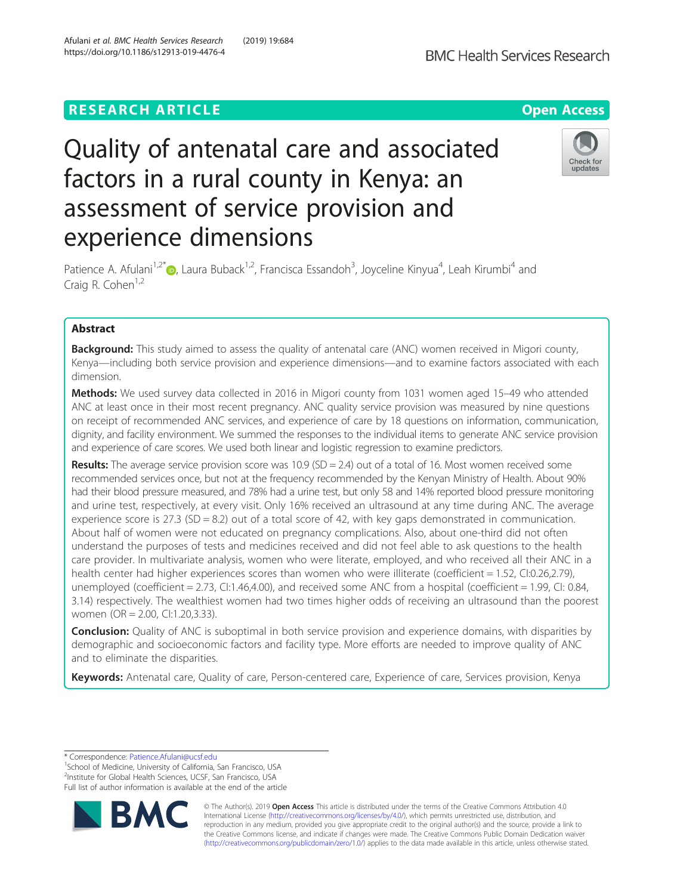# **RESEARCH ARTICLE Example 2014 12:30 The Contract of Contract ACCESS**

# Quality of antenatal care and associated factors in a rural county in Kenya: an assessment of service provision and experience dimensions

Patience A. Afulani<sup>1[,](http://orcid.org/0000-0002-6739-234X)2\*</sup>®, Laura Buback<sup>1,2</sup>, Francisca Essandoh<sup>3</sup>, Joyceline Kinyua<sup>4</sup>, Leah Kirumbi<sup>4</sup> and Craig R. Cohen<sup>1,2</sup>

# Abstract

Background: This study aimed to assess the quality of antenatal care (ANC) women received in Migori county, Kenya—including both service provision and experience dimensions—and to examine factors associated with each dimension.

Methods: We used survey data collected in 2016 in Migori county from 1031 women aged 15–49 who attended ANC at least once in their most recent pregnancy. ANC quality service provision was measured by nine questions on receipt of recommended ANC services, and experience of care by 18 questions on information, communication, dignity, and facility environment. We summed the responses to the individual items to generate ANC service provision and experience of care scores. We used both linear and logistic regression to examine predictors.

**Results:** The average service provision score was 10.9 (SD = 2.4) out of a total of 16. Most women received some recommended services once, but not at the frequency recommended by the Kenyan Ministry of Health. About 90% had their blood pressure measured, and 78% had a urine test, but only 58 and 14% reported blood pressure monitoring and urine test, respectively, at every visit. Only 16% received an ultrasound at any time during ANC. The average experience score is  $27.3$  (SD = 8.2) out of a total score of 42, with key gaps demonstrated in communication. About half of women were not educated on pregnancy complications. Also, about one-third did not often understand the purposes of tests and medicines received and did not feel able to ask questions to the health care provider. In multivariate analysis, women who were literate, employed, and who received all their ANC in a health center had higher experiences scores than women who were illiterate (coefficient = 1.52, CI:0.26,2.79), unemployed (coefficient  $= 2.73$ , Cl:1.46,4.00), and received some ANC from a hospital (coefficient  $= 1.99$ , Cl: 0.84, 3.14) respectively. The wealthiest women had two times higher odds of receiving an ultrasound than the poorest women (OR = 2.00, CI:1.20,3.33).

**Conclusion:** Quality of ANC is suboptimal in both service provision and experience domains, with disparities by demographic and socioeconomic factors and facility type. More efforts are needed to improve quality of ANC and to eliminate the disparities.

Keywords: Antenatal care, Quality of care, Person-centered care, Experience of care, Services provision, Kenya

\* Correspondence: [Patience.Afulani@ucsf.edu](mailto:Patience.Afulani@ucsf.edu) <sup>1</sup>

© The Author(s). 2019 **Open Access** This article is distributed under the terms of the Creative Commons Attribution 4.0 International License [\(http://creativecommons.org/licenses/by/4.0/](http://creativecommons.org/licenses/by/4.0/)), which permits unrestricted use, distribution, and reproduction in any medium, provided you give appropriate credit to the original author(s) and the source, provide a link to the Creative Commons license, and indicate if changes were made. The Creative Commons Public Domain Dedication waiver [\(http://creativecommons.org/publicdomain/zero/1.0/](http://creativecommons.org/publicdomain/zero/1.0/)) applies to the data made available in this article, unless otherwise stated.

<sup>1</sup>School of Medicine, University of California, San Francisco, USA 2 Institute for Global Health Sciences, UCSF, San Francisco, USA Full list of author information is available at the end of the article



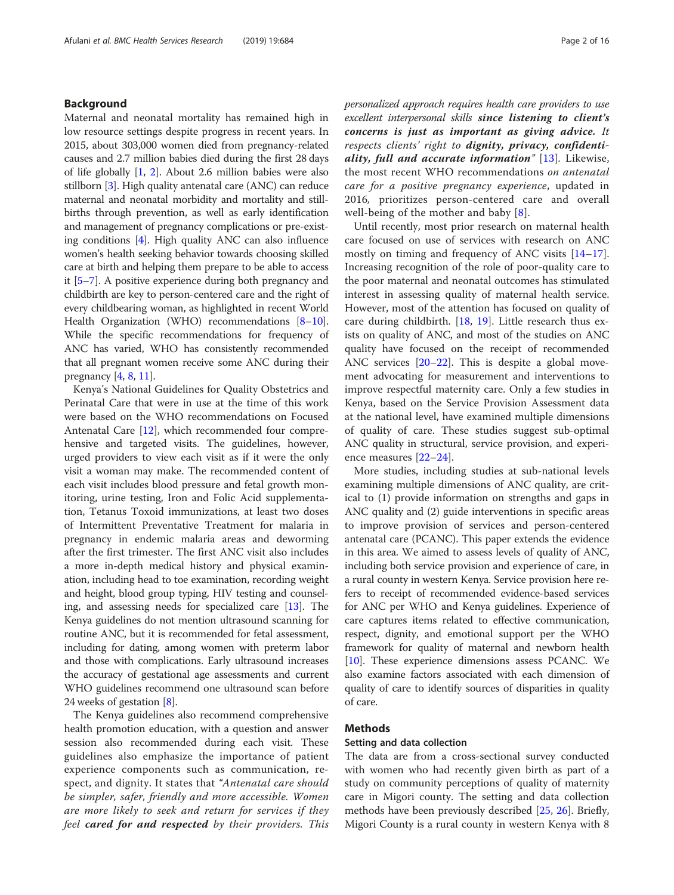# Background

Maternal and neonatal mortality has remained high in low resource settings despite progress in recent years. In 2015, about 303,000 women died from pregnancy-related causes and 2.7 million babies died during the first 28 days of life globally [[1,](#page-14-0) [2\]](#page-14-0). About 2.6 million babies were also stillborn [\[3](#page-14-0)]. High quality antenatal care (ANC) can reduce maternal and neonatal morbidity and mortality and stillbirths through prevention, as well as early identification and management of pregnancy complications or pre-existing conditions [\[4](#page-14-0)]. High quality ANC can also influence women's health seeking behavior towards choosing skilled care at birth and helping them prepare to be able to access it [\[5](#page-14-0)–[7\]](#page-14-0). A positive experience during both pregnancy and childbirth are key to person-centered care and the right of every childbearing woman, as highlighted in recent World Health Organization (WHO) recommendations [\[8](#page-14-0)–[10](#page-14-0)]. While the specific recommendations for frequency of ANC has varied, WHO has consistently recommended that all pregnant women receive some ANC during their pregnancy [[4](#page-14-0), [8,](#page-14-0) [11](#page-14-0)].

Kenya's National Guidelines for Quality Obstetrics and Perinatal Care that were in use at the time of this work were based on the WHO recommendations on Focused Antenatal Care [\[12](#page-14-0)], which recommended four comprehensive and targeted visits. The guidelines, however, urged providers to view each visit as if it were the only visit a woman may make. The recommended content of each visit includes blood pressure and fetal growth monitoring, urine testing, Iron and Folic Acid supplementation, Tetanus Toxoid immunizations, at least two doses of Intermittent Preventative Treatment for malaria in pregnancy in endemic malaria areas and deworming after the first trimester. The first ANC visit also includes a more in-depth medical history and physical examination, including head to toe examination, recording weight and height, blood group typing, HIV testing and counseling, and assessing needs for specialized care [\[13](#page-14-0)]. The Kenya guidelines do not mention ultrasound scanning for routine ANC, but it is recommended for fetal assessment, including for dating, among women with preterm labor and those with complications. Early ultrasound increases the accuracy of gestational age assessments and current WHO guidelines recommend one ultrasound scan before 24 weeks of gestation [[8\]](#page-14-0).

The Kenya guidelines also recommend comprehensive health promotion education, with a question and answer session also recommended during each visit. These guidelines also emphasize the importance of patient experience components such as communication, respect, and dignity. It states that "Antenatal care should be simpler, safer, friendly and more accessible. Women are more likely to seek and return for services if they feel **cared for and respected** by their providers. This personalized approach requires health care providers to use excellent interpersonal skills since listening to client's concerns is just as important as giving advice. It respects clients' right to dignity, privacy, confidentiality, full and accurate information" [[13](#page-14-0)]. Likewise, the most recent WHO recommendations on antenatal care for a positive pregnancy experience, updated in 2016, prioritizes person-centered care and overall well-being of the mother and baby [[8](#page-14-0)].

Until recently, most prior research on maternal health care focused on use of services with research on ANC mostly on timing and frequency of ANC visits [[14](#page-14-0)–[17](#page-15-0)]. Increasing recognition of the role of poor-quality care to the poor maternal and neonatal outcomes has stimulated interest in assessing quality of maternal health service. However, most of the attention has focused on quality of care during childbirth. [[18,](#page-15-0) [19](#page-15-0)]. Little research thus exists on quality of ANC, and most of the studies on ANC quality have focused on the receipt of recommended ANC services [\[20](#page-15-0)–[22\]](#page-15-0). This is despite a global movement advocating for measurement and interventions to improve respectful maternity care. Only a few studies in Kenya, based on the Service Provision Assessment data at the national level, have examined multiple dimensions of quality of care. These studies suggest sub-optimal ANC quality in structural, service provision, and experience measures [\[22](#page-15-0)–[24\]](#page-15-0).

More studies, including studies at sub-national levels examining multiple dimensions of ANC quality, are critical to (1) provide information on strengths and gaps in ANC quality and (2) guide interventions in specific areas to improve provision of services and person-centered antenatal care (PCANC). This paper extends the evidence in this area. We aimed to assess levels of quality of ANC, including both service provision and experience of care, in a rural county in western Kenya. Service provision here refers to receipt of recommended evidence-based services for ANC per WHO and Kenya guidelines. Experience of care captures items related to effective communication, respect, dignity, and emotional support per the WHO framework for quality of maternal and newborn health [[10](#page-14-0)]. These experience dimensions assess PCANC. We also examine factors associated with each dimension of quality of care to identify sources of disparities in quality of care.

# Methods

## Setting and data collection

The data are from a cross-sectional survey conducted with women who had recently given birth as part of a study on community perceptions of quality of maternity care in Migori county. The setting and data collection methods have been previously described [[25,](#page-15-0) [26\]](#page-15-0). Briefly, Migori County is a rural county in western Kenya with 8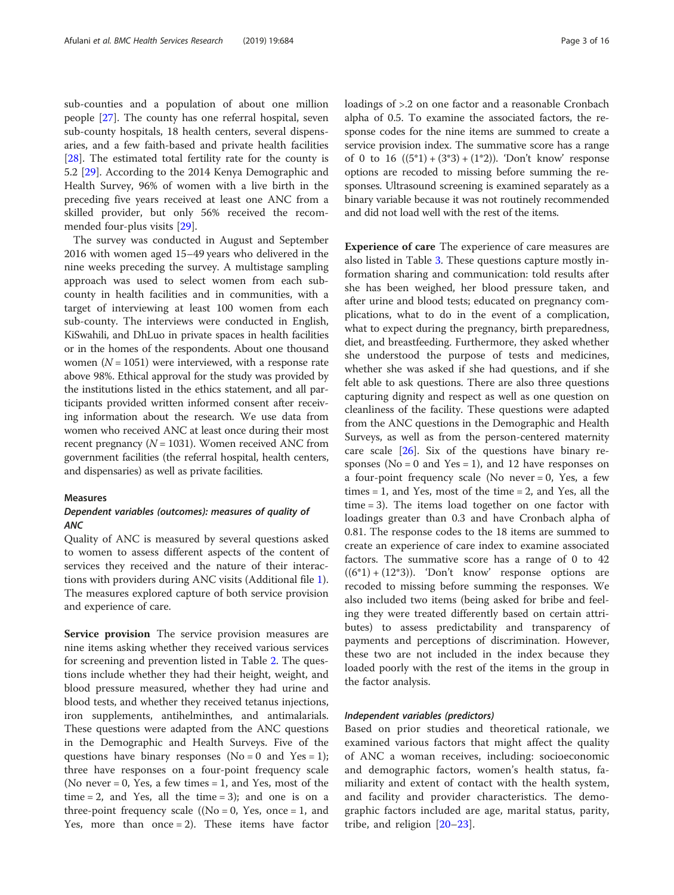sub-counties and a population of about one million people [\[27](#page-15-0)]. The county has one referral hospital, seven sub-county hospitals, 18 health centers, several dispensaries, and a few faith-based and private health facilities [[28\]](#page-15-0). The estimated total fertility rate for the county is 5.2 [[29\]](#page-15-0). According to the 2014 Kenya Demographic and Health Survey, 96% of women with a live birth in the preceding five years received at least one ANC from a skilled provider, but only 56% received the recommended four-plus visits [\[29](#page-15-0)].

The survey was conducted in August and September 2016 with women aged 15–49 years who delivered in the nine weeks preceding the survey. A multistage sampling approach was used to select women from each subcounty in health facilities and in communities, with a target of interviewing at least 100 women from each sub-county. The interviews were conducted in English, KiSwahili, and DhLuo in private spaces in health facilities or in the homes of the respondents. About one thousand women ( $N = 1051$ ) were interviewed, with a response rate above 98%. Ethical approval for the study was provided by the institutions listed in the ethics statement, and all participants provided written informed consent after receiving information about the research. We use data from women who received ANC at least once during their most recent pregnancy ( $N = 1031$ ). Women received ANC from government facilities (the referral hospital, health centers, and dispensaries) as well as private facilities.

## Measures

# Dependent variables (outcomes): measures of quality of ANC

Quality of ANC is measured by several questions asked to women to assess different aspects of the content of services they received and the nature of their interactions with providers during ANC visits (Additional file [1](#page-14-0)). The measures explored capture of both service provision and experience of care.

Service provision The service provision measures are nine items asking whether they received various services for screening and prevention listed in Table [2](#page-6-0). The questions include whether they had their height, weight, and blood pressure measured, whether they had urine and blood tests, and whether they received tetanus injections, iron supplements, antihelminthes, and antimalarials. These questions were adapted from the ANC questions in the Demographic and Health Surveys. Five of the questions have binary responses ( $No = 0$  and  $Yes = 1$ ); three have responses on a four-point frequency scale (No never  $= 0$ , Yes, a few times  $= 1$ , and Yes, most of the time = 2, and Yes, all the time = 3); and one is on a three-point frequency scale (( $No = 0$ , Yes, once = 1, and Yes, more than once  $= 2$ ). These items have factor loadings of >.2 on one factor and a reasonable Cronbach alpha of 0.5. To examine the associated factors, the response codes for the nine items are summed to create a service provision index. The summative score has a range of 0 to 16  $((5<sup>*</sup>1) + (3<sup>*</sup>3) + (1<sup>*</sup>2))$ . 'Don't know' response options are recoded to missing before summing the responses. Ultrasound screening is examined separately as a binary variable because it was not routinely recommended and did not load well with the rest of the items.

Experience of care The experience of care measures are also listed in Table [3.](#page-6-0) These questions capture mostly information sharing and communication: told results after she has been weighed, her blood pressure taken, and after urine and blood tests; educated on pregnancy complications, what to do in the event of a complication, what to expect during the pregnancy, birth preparedness, diet, and breastfeeding. Furthermore, they asked whether she understood the purpose of tests and medicines, whether she was asked if she had questions, and if she felt able to ask questions. There are also three questions capturing dignity and respect as well as one question on cleanliness of the facility. These questions were adapted from the ANC questions in the Demographic and Health Surveys, as well as from the person-centered maternity care scale [[26](#page-15-0)]. Six of the questions have binary responses ( $No = 0$  and  $Yes = 1$ ), and 12 have responses on a four-point frequency scale (No never  $= 0$ , Yes, a few times = 1, and Yes, most of the time = 2, and Yes, all the time = 3). The items load together on one factor with loadings greater than 0.3 and have Cronbach alpha of 0.81. The response codes to the 18 items are summed to create an experience of care index to examine associated factors. The summative score has a range of 0 to 42  $((6<sup>*</sup>1) + (12<sup>*</sup>3)).$  'Don't know' response options are recoded to missing before summing the responses. We also included two items (being asked for bribe and feeling they were treated differently based on certain attributes) to assess predictability and transparency of payments and perceptions of discrimination. However, these two are not included in the index because they loaded poorly with the rest of the items in the group in the factor analysis.

## Independent variables (predictors)

Based on prior studies and theoretical rationale, we examined various factors that might affect the quality of ANC a woman receives, including: socioeconomic and demographic factors, women's health status, familiarity and extent of contact with the health system, and facility and provider characteristics. The demographic factors included are age, marital status, parity, tribe, and religion [\[20](#page-15-0)–[23](#page-15-0)].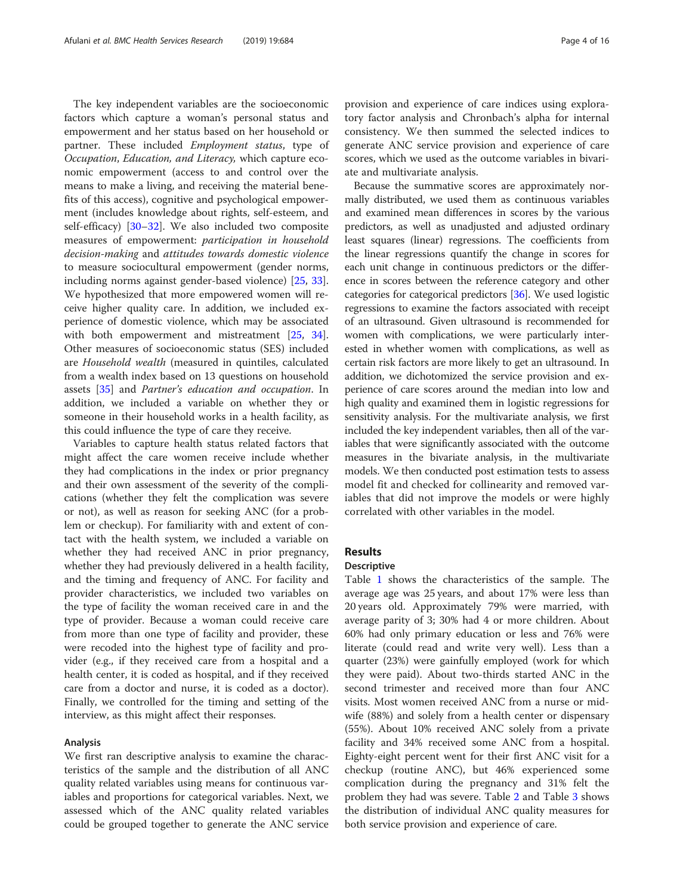The key independent variables are the socioeconomic factors which capture a woman's personal status and empowerment and her status based on her household or partner. These included *Employment status*, type of Occupation, Education, and Literacy, which capture economic empowerment (access to and control over the means to make a living, and receiving the material benefits of this access), cognitive and psychological empowerment (includes knowledge about rights, self-esteem, and self-efficacy) [[30](#page-15-0)–[32\]](#page-15-0). We also included two composite measures of empowerment: participation in household decision-making and attitudes towards domestic violence to measure sociocultural empowerment (gender norms, including norms against gender-based violence) [\[25,](#page-15-0) [33](#page-15-0)]. We hypothesized that more empowered women will receive higher quality care. In addition, we included experience of domestic violence, which may be associated with both empowerment and mistreatment [\[25,](#page-15-0) [34](#page-15-0)]. Other measures of socioeconomic status (SES) included are Household wealth (measured in quintiles, calculated from a wealth index based on 13 questions on household assets [[35\]](#page-15-0) and Partner's education and occupation. In addition, we included a variable on whether they or someone in their household works in a health facility, as this could influence the type of care they receive.

Variables to capture health status related factors that might affect the care women receive include whether they had complications in the index or prior pregnancy and their own assessment of the severity of the complications (whether they felt the complication was severe or not), as well as reason for seeking ANC (for a problem or checkup). For familiarity with and extent of contact with the health system, we included a variable on whether they had received ANC in prior pregnancy, whether they had previously delivered in a health facility, and the timing and frequency of ANC. For facility and provider characteristics, we included two variables on the type of facility the woman received care in and the type of provider. Because a woman could receive care from more than one type of facility and provider, these were recoded into the highest type of facility and provider (e.g., if they received care from a hospital and a health center, it is coded as hospital, and if they received care from a doctor and nurse, it is coded as a doctor). Finally, we controlled for the timing and setting of the interview, as this might affect their responses.

## Analysis

We first ran descriptive analysis to examine the characteristics of the sample and the distribution of all ANC quality related variables using means for continuous variables and proportions for categorical variables. Next, we assessed which of the ANC quality related variables could be grouped together to generate the ANC service

provision and experience of care indices using exploratory factor analysis and Chronbach's alpha for internal consistency. We then summed the selected indices to generate ANC service provision and experience of care scores, which we used as the outcome variables in bivariate and multivariate analysis.

Because the summative scores are approximately normally distributed, we used them as continuous variables and examined mean differences in scores by the various predictors, as well as unadjusted and adjusted ordinary least squares (linear) regressions. The coefficients from the linear regressions quantify the change in scores for each unit change in continuous predictors or the difference in scores between the reference category and other categories for categorical predictors [\[36\]](#page-15-0). We used logistic regressions to examine the factors associated with receipt of an ultrasound. Given ultrasound is recommended for women with complications, we were particularly interested in whether women with complications, as well as certain risk factors are more likely to get an ultrasound. In addition, we dichotomized the service provision and experience of care scores around the median into low and high quality and examined them in logistic regressions for sensitivity analysis. For the multivariate analysis, we first included the key independent variables, then all of the variables that were significantly associated with the outcome measures in the bivariate analysis, in the multivariate models. We then conducted post estimation tests to assess model fit and checked for collinearity and removed variables that did not improve the models or were highly correlated with other variables in the model.

# Results

## **Descriptive**

Table [1](#page-4-0) shows the characteristics of the sample. The average age was 25 years, and about 17% were less than 20 years old. Approximately 79% were married, with average parity of 3; 30% had 4 or more children. About 60% had only primary education or less and 76% were literate (could read and write very well). Less than a quarter (23%) were gainfully employed (work for which they were paid). About two-thirds started ANC in the second trimester and received more than four ANC visits. Most women received ANC from a nurse or midwife (88%) and solely from a health center or dispensary (55%). About 10% received ANC solely from a private facility and 34% received some ANC from a hospital. Eighty-eight percent went for their first ANC visit for a checkup (routine ANC), but 46% experienced some complication during the pregnancy and 31% felt the problem they had was severe. Table [2](#page-6-0) and Table [3](#page-6-0) shows the distribution of individual ANC quality measures for both service provision and experience of care.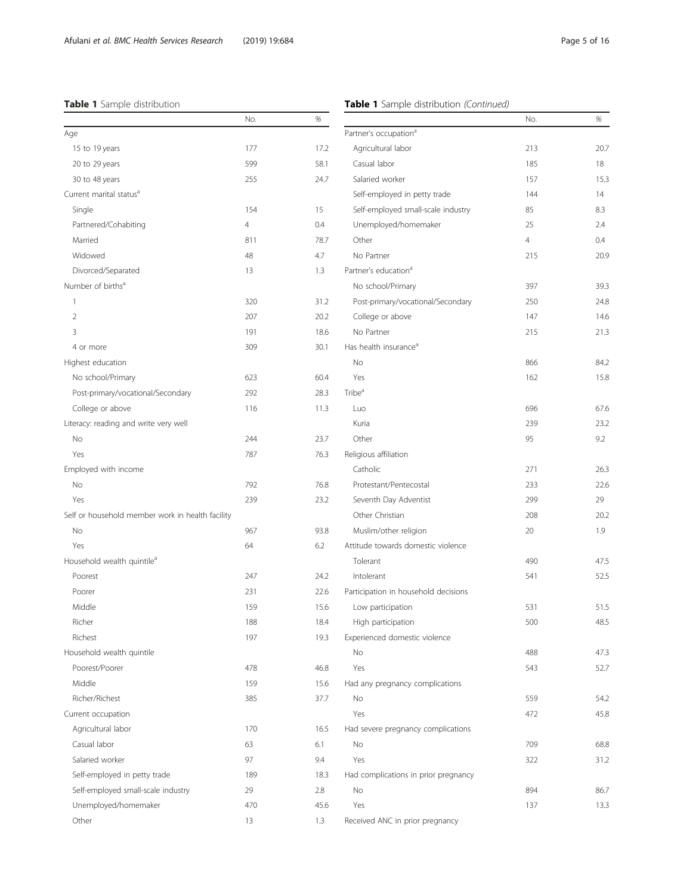# <span id="page-4-0"></span>Table 1 Sample distribution

# Table 1 Sample distribution (Continued)

|                                                  | No. | %    |                                      | No.            | %    |
|--------------------------------------------------|-----|------|--------------------------------------|----------------|------|
| Age                                              |     |      | Partner's occupation <sup>a</sup>    |                |      |
| 15 to 19 years                                   | 177 | 17.2 | Agricultural labor                   | 213            | 20.7 |
| 20 to 29 years                                   | 599 | 58.1 | Casual labor                         | 185            | 18   |
| 30 to 48 years                                   | 255 | 24.7 | Salaried worker                      | 157            | 15.3 |
| Current marital status <sup>a</sup>              |     |      | Self-employed in petty trade         | 144            | 14   |
| Single                                           | 154 | 15   | Self-employed small-scale industry   | 85             | 8.3  |
| Partnered/Cohabiting                             | 4   | 0.4  | Unemployed/homemaker                 | 25             | 2.4  |
| Married                                          | 811 | 78.7 | Other                                | $\overline{4}$ | 0.4  |
| Widowed                                          | 48  | 4.7  | No Partner                           | 215            | 20.9 |
| Divorced/Separated                               | 13  | 1.3  | Partner's education <sup>a</sup>     |                |      |
| Number of births <sup>a</sup>                    |     |      | No school/Primary                    | 397            | 39.3 |
| 1                                                | 320 | 31.2 | Post-primary/vocational/Secondary    | 250            | 24.8 |
| $\overline{2}$                                   | 207 | 20.2 | College or above                     | 147            | 14.6 |
| 3                                                | 191 | 18.6 | No Partner                           | 215            | 21.3 |
| 4 or more                                        | 309 | 30.1 | Has health insurance <sup>a</sup>    |                |      |
| Highest education                                |     |      | No                                   | 866            | 84.2 |
| No school/Primary                                | 623 | 60.4 | Yes                                  | 162            | 15.8 |
| Post-primary/vocational/Secondary                | 292 | 28.3 | Tribe <sup>a</sup>                   |                |      |
| College or above                                 | 116 | 11.3 | Luo                                  | 696            | 67.6 |
| Literacy: reading and write very well            |     |      | Kuria                                | 239            | 23.2 |
| No                                               | 244 | 23.7 | Other                                | 95             | 9.2  |
| Yes                                              | 787 | 76.3 | Religious affiliation                |                |      |
| Employed with income                             |     |      | Catholic                             | 271            | 26.3 |
| No                                               | 792 | 76.8 | Protestant/Pentecostal               | 233            | 22.6 |
| Yes                                              | 239 | 23.2 | Seventh Day Adventist                | 299            | 29   |
| Self or household member work in health facility |     |      | Other Christian                      | 208            | 20.2 |
| No                                               | 967 | 93.8 | Muslim/other religion                | 20             | 1.9  |
| Yes                                              | 64  | 6.2  | Attitude towards domestic violence   |                |      |
| Household wealth quintile <sup>a</sup>           |     |      | Tolerant                             | 490            | 47.5 |
| Poorest                                          | 247 | 24.2 | Intolerant                           | 541            | 52.5 |
| Poorer                                           | 231 | 22.6 | Participation in household decisions |                |      |
| Middle                                           | 159 | 15.6 | Low participation                    | 531            | 51.5 |
| Richer                                           | 188 | 18.4 | High participation                   | 500            | 48.5 |
| Richest                                          | 197 | 19.3 | Experienced domestic violence        |                |      |
| Household wealth quintile                        |     |      | No                                   | 488            | 47.3 |
| Poorest/Poorer                                   | 478 | 46.8 | Yes                                  | 543            | 52.7 |
| Middle                                           | 159 | 15.6 | Had any pregnancy complications      |                |      |
| Richer/Richest                                   | 385 | 37.7 | No                                   | 559            | 54.2 |
| Current occupation                               |     |      | Yes                                  | 472            | 45.8 |
| Agricultural labor                               | 170 | 16.5 | Had severe pregnancy complications   |                |      |
| Casual labor                                     | 63  | 6.1  | No                                   | 709            | 68.8 |
| Salaried worker                                  | 97  | 9.4  | Yes                                  | 322            | 31.2 |
| Self-employed in petty trade                     | 189 | 18.3 | Had complications in prior pregnancy |                |      |
| Self-employed small-scale industry               | 29  | 2.8  | No                                   | 894            | 86.7 |
| Unemployed/homemaker                             | 470 | 45.6 | Yes                                  | 137            | 13.3 |
| Other                                            | 13  | 1.3  | Received ANC in prior pregnancy      |                |      |
|                                                  |     |      |                                      |                |      |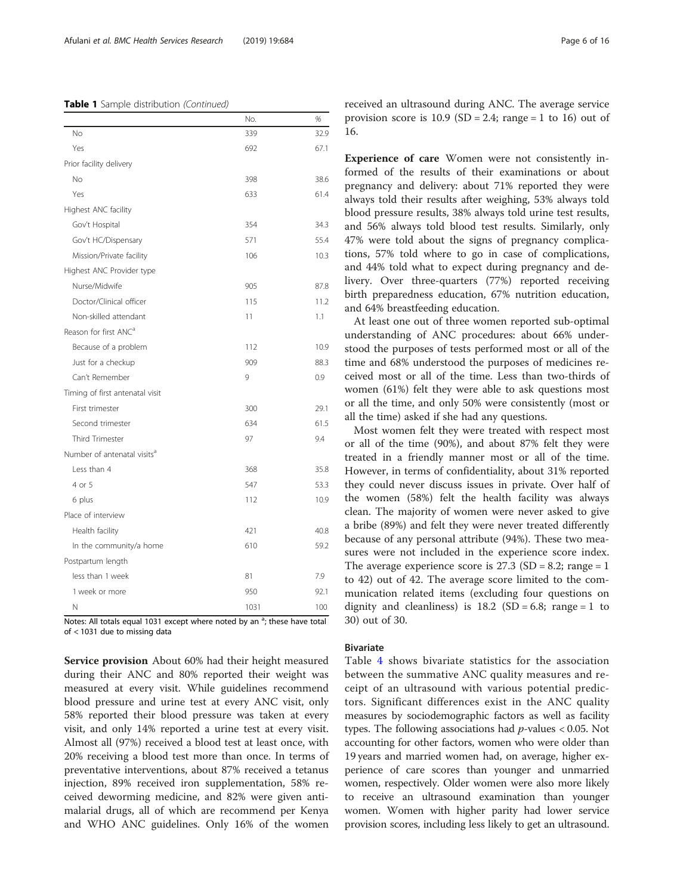## Table 1 Sample distribution (Continued)

|                                         | No.  | %    |
|-----------------------------------------|------|------|
| <b>No</b>                               | 339  | 32.9 |
| Yes                                     | 692  | 67.1 |
| Prior facility delivery                 |      |      |
| No                                      | 398  | 38.6 |
| Yes                                     | 633  | 61.4 |
| Highest ANC facility                    |      |      |
| Gov't Hospital                          | 354  | 34.3 |
| Gov't HC/Dispensary                     | 571  | 55.4 |
| Mission/Private facility                | 106  | 10.3 |
| Highest ANC Provider type               |      |      |
| Nurse/Midwife                           | 905  | 87.8 |
| Doctor/Clinical officer                 | 115  | 11.2 |
| Non-skilled attendant                   | 11   | 1.1  |
| Reason for first ANC <sup>a</sup>       |      |      |
| Because of a problem                    | 112  | 10.9 |
| Just for a checkup                      | 909  | 88.3 |
| Can't Remember                          | 9    | 0.9  |
| Timing of first antenatal visit         |      |      |
| First trimester                         | 300  | 29.1 |
| Second trimester                        | 634  | 61.5 |
| <b>Third Trimester</b>                  | 97   | 9.4  |
| Number of antenatal visits <sup>a</sup> |      |      |
| Less than 4                             | 368  | 35.8 |
| 4 or 5                                  | 547  | 53.3 |
| 6 plus                                  | 112  | 10.9 |
| Place of interview                      |      |      |
| Health facility                         | 421  | 40.8 |
| In the community/a home                 | 610  | 59.2 |
| Postpartum length                       |      |      |
| less than 1 week                        | 81   | 7.9  |
| 1 week or more                          | 950  | 92.1 |
| Ν                                       | 1031 | 100  |

Notes: All totals equal 1031 except where noted by an <sup>a</sup>; these have total of < 1031 due to missing data

Service provision About 60% had their height measured during their ANC and 80% reported their weight was measured at every visit. While guidelines recommend blood pressure and urine test at every ANC visit, only 58% reported their blood pressure was taken at every visit, and only 14% reported a urine test at every visit. Almost all (97%) received a blood test at least once, with 20% receiving a blood test more than once. In terms of preventative interventions, about 87% received a tetanus injection, 89% received iron supplementation, 58% received deworming medicine, and 82% were given antimalarial drugs, all of which are recommend per Kenya and WHO ANC guidelines. Only 16% of the women

received an ultrasound during ANC. The average service provision score is  $10.9$  (SD = 2.4; range = 1 to 16) out of 16.

Experience of care Women were not consistently informed of the results of their examinations or about pregnancy and delivery: about 71% reported they were always told their results after weighing, 53% always told blood pressure results, 38% always told urine test results, and 56% always told blood test results. Similarly, only 47% were told about the signs of pregnancy complications, 57% told where to go in case of complications, and 44% told what to expect during pregnancy and delivery. Over three-quarters (77%) reported receiving birth preparedness education, 67% nutrition education, and 64% breastfeeding education.

At least one out of three women reported sub-optimal understanding of ANC procedures: about 66% understood the purposes of tests performed most or all of the time and 68% understood the purposes of medicines received most or all of the time. Less than two-thirds of women (61%) felt they were able to ask questions most or all the time, and only 50% were consistently (most or all the time) asked if she had any questions.

Most women felt they were treated with respect most or all of the time (90%), and about 87% felt they were treated in a friendly manner most or all of the time. However, in terms of confidentiality, about 31% reported they could never discuss issues in private. Over half of the women (58%) felt the health facility was always clean. The majority of women were never asked to give a bribe (89%) and felt they were never treated differently because of any personal attribute (94%). These two measures were not included in the experience score index. The average experience score is  $27.3$  (SD = 8.2; range = 1) to 42) out of 42. The average score limited to the communication related items (excluding four questions on dignity and cleanliness) is  $18.2$  (SD = 6.8; range = 1 to 30) out of 30.

# **Bivariate**

Table [4](#page-8-0) shows bivariate statistics for the association between the summative ANC quality measures and receipt of an ultrasound with various potential predictors. Significant differences exist in the ANC quality measures by sociodemographic factors as well as facility types. The following associations had  $p$ -values  $< 0.05$ . Not accounting for other factors, women who were older than 19 years and married women had, on average, higher experience of care scores than younger and unmarried women, respectively. Older women were also more likely to receive an ultrasound examination than younger women. Women with higher parity had lower service provision scores, including less likely to get an ultrasound.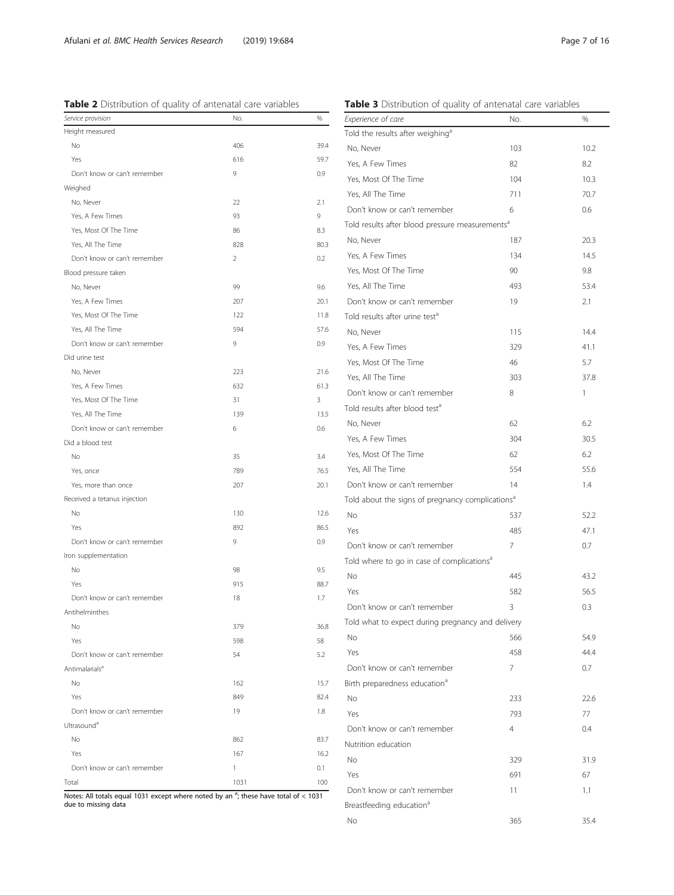<span id="page-6-0"></span>Table 2 Distribution of quality of antenatal care variables

Table 3 Distribution of quality of antenatal care variables

No 365 35.4

| Service provision                                                                                             | No.            | $\%$ | Experience of care                                           | No.            | %            |
|---------------------------------------------------------------------------------------------------------------|----------------|------|--------------------------------------------------------------|----------------|--------------|
| Height measured                                                                                               |                |      | Told the results after weighing <sup>a</sup>                 |                |              |
| No                                                                                                            | 406            | 39.4 | No, Never                                                    | 103            | 10.2         |
| Yes                                                                                                           | 616            | 59.7 | Yes, A Few Times                                             | 82             | 8.2          |
| Don't know or can't remember                                                                                  | 9              | 0.9  | Yes, Most Of The Time                                        | 104            | 10.3         |
| Weighed                                                                                                       |                |      | Yes, All The Time                                            | 711            | 70.7         |
| No, Never                                                                                                     | 22             | 2.1  | Don't know or can't remember                                 | 6              | 0.6          |
| Yes, A Few Times                                                                                              | 93             | 9    | Told results after blood pressure measurements <sup>a</sup>  |                |              |
| Yes, Most Of The Time                                                                                         | 86             | 8.3  | No, Never                                                    | 187            | 20.3         |
| Yes, All The Time                                                                                             | 828            | 80.3 | Yes, A Few Times                                             | 134            | 14.5         |
| Don't know or can't remember                                                                                  | $\overline{2}$ | 0.2  |                                                              | 90             | 9.8          |
| Blood pressure taken                                                                                          |                |      | Yes, Most Of The Time                                        |                |              |
| No, Never                                                                                                     | 99             | 9.6  | Yes, All The Time                                            | 493            | 53.4         |
| Yes, A Few Times                                                                                              | 207            | 20.1 | Don't know or can't remember                                 | 19             | 2.1          |
| Yes, Most Of The Time                                                                                         | 122<br>594     | 11.8 | Told results after urine test <sup>a</sup>                   |                |              |
| Yes, All The Time                                                                                             | 9              | 57.6 | No, Never                                                    | 115            | 14.4         |
| Don't know or can't remember<br>Did urine test                                                                |                | 0.9  | Yes, A Few Times                                             | 329            | 41.1         |
| No. Never                                                                                                     | 223            | 21.6 | Yes, Most Of The Time                                        | 46             | 5.7          |
| Yes, A Few Times                                                                                              | 632            | 61.3 | Yes, All The Time                                            | 303            | 37.8         |
| Yes, Most Of The Time                                                                                         | 31             | 3    | Don't know or can't remember                                 | 8              | $\mathbf{1}$ |
| Yes, All The Time                                                                                             | 139            | 13.5 | Told results after blood test <sup>a</sup>                   |                |              |
| Don't know or can't remember                                                                                  | 6              | 0.6  | No, Never                                                    | 62             | 6.2          |
| Did a blood test                                                                                              |                |      | Yes, A Few Times                                             | 304            | 30.5         |
| No                                                                                                            | 35             | 3.4  | Yes, Most Of The Time                                        | 62             | 6.2          |
| Yes, once                                                                                                     | 789            | 76.5 | Yes, All The Time                                            | 554            | 55.6         |
| Yes, more than once                                                                                           | 207            | 20.1 | Don't know or can't remember                                 | 14             | 1.4          |
| Received a tetanus injection                                                                                  |                |      | Told about the signs of pregnancy complications <sup>a</sup> |                |              |
| No                                                                                                            | 130            | 12.6 | No                                                           | 537            | 52.2         |
| Yes                                                                                                           | 892            | 86.5 | Yes                                                          | 485            | 47.1         |
| Don't know or can't remember                                                                                  | 9              | 0.9  | Don't know or can't remember                                 | 7              | 0.7          |
| Iron supplementation                                                                                          |                |      | Told where to go in case of complications <sup>a</sup>       |                |              |
| No                                                                                                            | 98             | 9.5  |                                                              |                |              |
| Yes                                                                                                           | 915            | 88.7 | No                                                           | 445            | 43.2         |
| Don't know or can't remember                                                                                  | 18             | 1.7  | Yes                                                          | 582            | 56.5         |
| Antihelminthes                                                                                                |                |      | Don't know or can't remember                                 | 3              | 0.3          |
| No                                                                                                            | 379            | 36.8 | Told what to expect during pregnancy and delivery            |                |              |
| Yes                                                                                                           | 598            | 58   | No                                                           | 566            | 54.9         |
| Don't know or can't remember                                                                                  | 54             | 5.2  | Yes                                                          | 458            | 44.4         |
| Antimalarials <sup>a</sup>                                                                                    |                |      | Don't know or can't remember                                 | 7              | 0.7          |
| No                                                                                                            | 162            | 15.7 | Birth preparedness education <sup>a</sup>                    |                |              |
| Yes                                                                                                           | 849            | 82.4 | No                                                           | 233            | 22.6         |
| Don't know or can't remember                                                                                  | 19             | 1.8  | Yes                                                          | 793            | 77           |
| Ultrasound <sup>a</sup>                                                                                       |                |      | Don't know or can't remember                                 | $\overline{4}$ | 0.4          |
| No                                                                                                            | 862            | 83.7 | Nutrition education                                          |                |              |
| Yes                                                                                                           | 167            | 16.2 | No                                                           | 329            | 31.9         |
| Don't know or can't remember                                                                                  | 1              | 0.1  | Yes                                                          | 691            | 67           |
| Total                                                                                                         | 1031           | 100  | Don't know or can't remember                                 | 11             | 1.1          |
| Notes: All totals equal 1031 except where noted by an $a$ ; these have total of < 1031<br>due to missing data |                |      | Breastfeeding education <sup>a</sup>                         |                |              |

due to missing data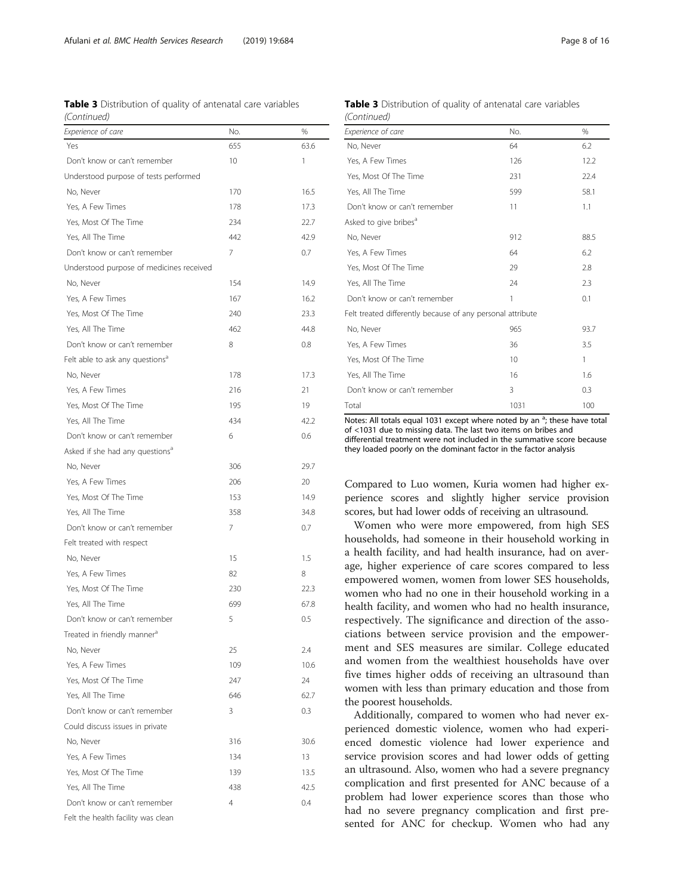Table 3 Distribution of quality of antenatal care variables (Continued)

| Experience of care                          | No. | %    |
|---------------------------------------------|-----|------|
| Yes                                         | 655 | 63.6 |
| Don't know or can't remember                | 10  | 1    |
| Understood purpose of tests performed       |     |      |
| No, Never                                   | 170 | 16.5 |
| Yes, A Few Times                            | 178 | 17.3 |
| Yes, Most Of The Time                       | 234 | 22.7 |
| Yes, All The Time                           | 442 | 42.9 |
| Don't know or can't remember                | 7   | 0.7  |
| Understood purpose of medicines received    |     |      |
| No, Never                                   | 154 | 14.9 |
| Yes, A Few Times                            | 167 | 16.2 |
| Yes, Most Of The Time                       | 240 | 23.3 |
| Yes, All The Time                           | 462 | 44.8 |
| Don't know or can't remember                | 8   | 0.8  |
| Felt able to ask any questions <sup>a</sup> |     |      |
| No, Never                                   | 178 | 17.3 |
| Yes, A Few Times                            | 216 | 21   |
| Yes. Most Of The Time                       | 195 | 19   |
| Yes, All The Time                           | 434 | 42.2 |
| Don't know or can't remember                | 6   | 0.6  |
| Asked if she had any questions <sup>a</sup> |     |      |
| No, Never                                   | 306 | 29.7 |
| Yes, A Few Times                            | 206 | 20   |
| Yes, Most Of The Time                       | 153 | 14.9 |
| Yes, All The Time                           | 358 | 34.8 |
| Don't know or can't remember                | 7   | 0.7  |
| Felt treated with respect                   |     |      |
| No, Never                                   | 15  | 1.5  |
| Yes, A Few Times                            | 82  | 8    |
| Yes, Most Of The Time                       | 230 | 22.3 |
| Yes, All The Time                           | 699 | 67.8 |
| Don't know or can't remember                | 5   | 0.5  |
| Treated in friendly manner <sup>a</sup>     |     |      |
| No, Never                                   | 25  | 2.4  |
| Yes, A Few Times                            | 109 | 10.6 |
| Yes, Most Of The Time                       | 247 | 24   |
| Yes, All The Time                           | 646 | 62.7 |
| Don't know or can't remember                | 3   | 0.3  |
| Could discuss issues in private             |     |      |
| No, Never                                   | 316 | 30.6 |
| Yes, A Few Times                            | 134 | 13   |
| Yes. Most Of The Time                       | 139 | 13.5 |
| Yes, All The Time                           | 438 | 42.5 |
| Don't know or can't remember                | 4   | 0.4  |
| Felt the health facility was clean          |     |      |

| (Continued)                  |     |      |  |  |  |  |  |  |
|------------------------------|-----|------|--|--|--|--|--|--|
| Experience of care           | No. | %    |  |  |  |  |  |  |
| No, Never                    | 64  | 6.2  |  |  |  |  |  |  |
| Yes, A Few Times             | 126 | 12.2 |  |  |  |  |  |  |
| Yes, Most Of The Time        | 231 | 22.4 |  |  |  |  |  |  |
| Yes, All The Time            | 599 | 58.1 |  |  |  |  |  |  |
| Don't know as can't romambor | 11  |      |  |  |  |  |  |  |

Table 3 Distribution of quality of antenatal care variables

| Yes. All The Time                                          | 599  | 58. I |
|------------------------------------------------------------|------|-------|
| Don't know or can't remember                               | 11   | 1.1   |
| Asked to give bribes <sup>a</sup>                          |      |       |
| No, Never                                                  | 912  | 88.5  |
| Yes, A Few Times                                           | 64   | 6.2   |
| Yes, Most Of The Time                                      | 29   | 2.8   |
| Yes, All The Time                                          | 24   | 2.3   |
| Don't know or can't remember                               | 1    | 0.1   |
| Felt treated differently because of any personal attribute |      |       |
| No, Never                                                  | 965  | 93.7  |
| Yes, A Few Times                                           | 36   | 3.5   |
| Yes, Most Of The Time                                      | 10   | 1     |
| Yes, All The Time                                          | 16   | 1.6   |
| Don't know or can't remember                               | 3    | 0.3   |
| Total                                                      | 1031 | 100   |

Notes: All totals equal 1031 except where noted by an <sup>a</sup>; these have total of <1031 due to missing data. The last two items on bribes and differential treatment were not included in the summative score because they loaded poorly on the dominant factor in the factor analysis

Compared to Luo women, Kuria women had higher experience scores and slightly higher service provision scores, but had lower odds of receiving an ultrasound.

Women who were more empowered, from high SES households, had someone in their household working in a health facility, and had health insurance, had on average, higher experience of care scores compared to less empowered women, women from lower SES households, women who had no one in their household working in a health facility, and women who had no health insurance, respectively. The significance and direction of the associations between service provision and the empowerment and SES measures are similar. College educated and women from the wealthiest households have over five times higher odds of receiving an ultrasound than women with less than primary education and those from the poorest households.

Additionally, compared to women who had never experienced domestic violence, women who had experienced domestic violence had lower experience and service provision scores and had lower odds of getting an ultrasound. Also, women who had a severe pregnancy complication and first presented for ANC because of a problem had lower experience scores than those who had no severe pregnancy complication and first presented for ANC for checkup. Women who had any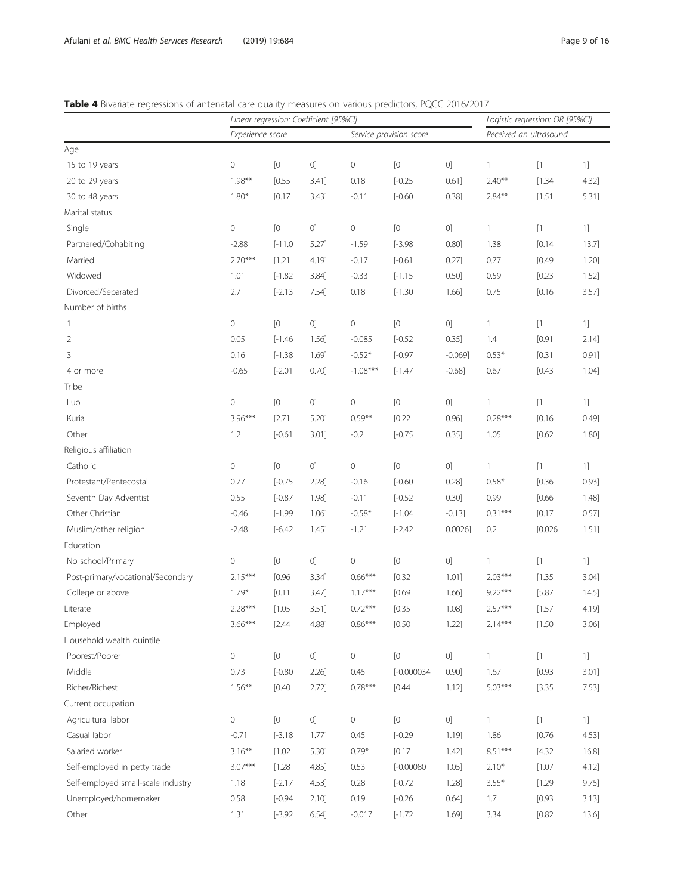# <span id="page-8-0"></span>Table 4 Bivariate regressions of antenatal care quality measures on various predictors, PQCC 2016/2017

|                                    | Linear regression: Coefficient [95%CI] |           |             |                         |               | Logistic regression: OR [95%CI] |                        |                                                                                                                                                                                                                                                                                                                                                                                                                                                                                                                                                                                                                                                                                                                                                                                                                                                                                                                                                                                                                                              |          |
|------------------------------------|----------------------------------------|-----------|-------------|-------------------------|---------------|---------------------------------|------------------------|----------------------------------------------------------------------------------------------------------------------------------------------------------------------------------------------------------------------------------------------------------------------------------------------------------------------------------------------------------------------------------------------------------------------------------------------------------------------------------------------------------------------------------------------------------------------------------------------------------------------------------------------------------------------------------------------------------------------------------------------------------------------------------------------------------------------------------------------------------------------------------------------------------------------------------------------------------------------------------------------------------------------------------------------|----------|
|                                    | Experience score                       |           |             | Service provision score |               |                                 | Received an ultrasound |                                                                                                                                                                                                                                                                                                                                                                                                                                                                                                                                                                                                                                                                                                                                                                                                                                                                                                                                                                                                                                              |          |
| Age                                |                                        |           |             |                         |               |                                 |                        |                                                                                                                                                                                                                                                                                                                                                                                                                                                                                                                                                                                                                                                                                                                                                                                                                                                                                                                                                                                                                                              |          |
| 15 to 19 years                     | 0                                      | [0        | $\mbox{O}]$ | $\mathbb O$             | [0            | 0]                              | 1                      | [1                                                                                                                                                                                                                                                                                                                                                                                                                                                                                                                                                                                                                                                                                                                                                                                                                                                                                                                                                                                                                                           | 1]       |
| 20 to 29 years                     | $1.98***$                              | [0.55]    | 3.41]       | 0.18                    | $[-0.25]$     | 0.61]                           | $2.40**$               | [1.34]                                                                                                                                                                                                                                                                                                                                                                                                                                                                                                                                                                                                                                                                                                                                                                                                                                                                                                                                                                                                                                       | 4.32]    |
| 30 to 48 years                     | $1.80*$                                | [0.17]    | 3.43]       | $-0.11$                 | $[-0.60]$     | 0.38]                           | $2.84**$               | [1.51]                                                                                                                                                                                                                                                                                                                                                                                                                                                                                                                                                                                                                                                                                                                                                                                                                                                                                                                                                                                                                                       | 5.31]    |
| Marital status                     |                                        |           |             |                         |               |                                 |                        |                                                                                                                                                                                                                                                                                                                                                                                                                                                                                                                                                                                                                                                                                                                                                                                                                                                                                                                                                                                                                                              |          |
| Single                             | $\mathbf 0$                            | [0        | 0]          | $\mathbf 0$             |               | 0]                              | $\mathbf{1}$           | [1                                                                                                                                                                                                                                                                                                                                                                                                                                                                                                                                                                                                                                                                                                                                                                                                                                                                                                                                                                                                                                           | 1]       |
| Partnered/Cohabiting               | $-2.88$                                | $[-11.0]$ | 5.27]       | $-1.59$                 | $[-3.98]$     | 0.80]                           | 1.38                   | [0.14]                                                                                                                                                                                                                                                                                                                                                                                                                                                                                                                                                                                                                                                                                                                                                                                                                                                                                                                                                                                                                                       | $13.7$ ] |
| Married                            | $2.70***$                              | [1.21]    | 4.19]       | $-0.17$                 | $[-0.61]$     | $0.27$ ]                        | 0.77                   | [0.49]                                                                                                                                                                                                                                                                                                                                                                                                                                                                                                                                                                                                                                                                                                                                                                                                                                                                                                                                                                                                                                       | $1.20$ ] |
| Widowed                            | 1.01                                   | $[-1.82]$ | 3.84]       | $-0.33$                 | $[-1.15]$     | 0.50]                           | 0.59                   | [0.23]                                                                                                                                                                                                                                                                                                                                                                                                                                                                                                                                                                                                                                                                                                                                                                                                                                                                                                                                                                                                                                       | 1.52]    |
| Divorced/Separated                 | 2.7                                    | $[-2.13]$ | 7.54]       | 0.18                    | $[-1.30]$     | 1.66]                           | 0.75                   | [0.16]                                                                                                                                                                                                                                                                                                                                                                                                                                                                                                                                                                                                                                                                                                                                                                                                                                                                                                                                                                                                                                       | 3.57]    |
| Number of births                   |                                        |           |             |                         |               |                                 |                        |                                                                                                                                                                                                                                                                                                                                                                                                                                                                                                                                                                                                                                                                                                                                                                                                                                                                                                                                                                                                                                              |          |
| 1                                  | $\mathbf 0$                            |           | $\mbox{O}]$ | 0                       |               | 0]                              | $\mathbf{1}$           | $[1]$                                                                                                                                                                                                                                                                                                                                                                                                                                                                                                                                                                                                                                                                                                                                                                                                                                                                                                                                                                                                                                        | 1]       |
| $\overline{2}$                     | 0.05                                   | $[-1.46]$ | $1.56$ ]    | $-0.085$                | $[-0.52]$     | 0.35]                           | 1.4                    | [0.91]                                                                                                                                                                                                                                                                                                                                                                                                                                                                                                                                                                                                                                                                                                                                                                                                                                                                                                                                                                                                                                       | 2.14]    |
| 3                                  | 0.16                                   | $[-1.38]$ | 1.69]       | $-0.52*$                | $[-0.97]$     | $-0.069$ ]                      | $0.53*$                | [0.31]                                                                                                                                                                                                                                                                                                                                                                                                                                                                                                                                                                                                                                                                                                                                                                                                                                                                                                                                                                                                                                       | 0.91]    |
| 4 or more                          | $-0.65$                                | $[-2.01]$ | 0.70]       | $-1.08***$              | $[-1.47]$     | $-0.68$ ]                       | 0.67                   | [0.43]                                                                                                                                                                                                                                                                                                                                                                                                                                                                                                                                                                                                                                                                                                                                                                                                                                                                                                                                                                                                                                       | 1.04]    |
| Tribe                              |                                        |           |             |                         |               |                                 |                        |                                                                                                                                                                                                                                                                                                                                                                                                                                                                                                                                                                                                                                                                                                                                                                                                                                                                                                                                                                                                                                              |          |
| Luo                                | $\mathbf 0$                            | [0]       | 0]          | $\mathbb O$             | [0            | 0]                              | $\mathbf{1}$           | $[1]$                                                                                                                                                                                                                                                                                                                                                                                                                                                                                                                                                                                                                                                                                                                                                                                                                                                                                                                                                                                                                                        | 1]       |
| Kuria                              | $3.96***$                              | [2.71]    | 5.20]       | $0.59***$               | [0.22]        | 0.96]                           | $0.28***$              | [0.16]                                                                                                                                                                                                                                                                                                                                                                                                                                                                                                                                                                                                                                                                                                                                                                                                                                                                                                                                                                                                                                       | 0.49]    |
| Other                              | 1.2                                    | $[-0.61]$ | 3.01]       | $-0.2$                  | $[-0.75]$     | 0.35]                           | 1.05                   | [0.62]                                                                                                                                                                                                                                                                                                                                                                                                                                                                                                                                                                                                                                                                                                                                                                                                                                                                                                                                                                                                                                       | 1.80]    |
| Religious affiliation              |                                        |           |             |                         |               |                                 |                        |                                                                                                                                                                                                                                                                                                                                                                                                                                                                                                                                                                                                                                                                                                                                                                                                                                                                                                                                                                                                                                              |          |
| Catholic                           | $\mathsf{O}\xspace$                    | [0        | $\mbox{O}]$ | $\mathbf 0$             |               | 0]                              | $\mathbf{1}$           | $[1] % \centering \includegraphics[width=0.9\textwidth]{images/TrDiS/N-Architecture.png} % \caption{The first two different values of the parameter $\Sigma$ and the first two different values of the parameter $N$. The first two different values of the parameter $N$. The first two different values of the parameter $N$. The first two different values of the parameter $N$. The first two different values of the parameter $N$. The first two different values of the parameter $N$. The first two different values of the parameter $N$. The first two different values of the parameter $N$. The first two different values of the parameter $N$. The first two different values of the parameter $N$. The first two different values of the parameter $N$. The first two different values of the parameter $N$. The first two different values of the parameter $N$. The first two different values of the parameter $N$. The first two different values of the parameter $N$. The first two different values of the parameter$ | 1]       |
| Protestant/Pentecostal             | 0.77                                   | $[-0.75]$ | 2.28]       | $-0.16$                 | $[-0.60]$     | 0.28]                           | $0.58*$                | [0.36]                                                                                                                                                                                                                                                                                                                                                                                                                                                                                                                                                                                                                                                                                                                                                                                                                                                                                                                                                                                                                                       | 0.93]    |
| Seventh Day Adventist              | 0.55                                   | $[-0.87]$ | 1.98]       | $-0.11$                 | $[-0.52]$     | 0.30]                           | 0.99                   | [0.66]                                                                                                                                                                                                                                                                                                                                                                                                                                                                                                                                                                                                                                                                                                                                                                                                                                                                                                                                                                                                                                       | 1.48]    |
| Other Christian                    | $-0.46$                                | $[-1.99]$ | $1.06$ ]    | $-0.58*$                | $[-1.04]$     | $-0.13$ ]                       | $0.31***$              | [0.17]                                                                                                                                                                                                                                                                                                                                                                                                                                                                                                                                                                                                                                                                                                                                                                                                                                                                                                                                                                                                                                       | 0.57]    |
| Muslim/other religion              | $-2.48$                                | $[-6.42]$ | 1.45]       | $-1.21$                 | $[-2.42]$     | 0.0026                          | 0.2                    | [0.026]                                                                                                                                                                                                                                                                                                                                                                                                                                                                                                                                                                                                                                                                                                                                                                                                                                                                                                                                                                                                                                      | 1.51]    |
| Education                          |                                        |           |             |                         |               |                                 |                        |                                                                                                                                                                                                                                                                                                                                                                                                                                                                                                                                                                                                                                                                                                                                                                                                                                                                                                                                                                                                                                              |          |
| No school/Primary                  | 0                                      | [0        | $\mbox{O}]$ | 0                       |               | 0]                              | $\mathbf{1}$           | $[1] \centering% \includegraphics[width=0.3\textwidth]{images/TransY.pdf} \caption{The first two different values of $y$ and $y$ and $z$ are shown in the left. The first two different values of $y$ and $y$ are shown in the right.} \label{fig:class}$                                                                                                                                                                                                                                                                                                                                                                                                                                                                                                                                                                                                                                                                                                                                                                                    | 1]       |
| Post-primary/vocational/Secondary  | $2.15***$                              | [0.96]    | 3.34]       | $0.66***$               | [0.32]        | 1.01]                           | $2.03***$              | [1.35]                                                                                                                                                                                                                                                                                                                                                                                                                                                                                                                                                                                                                                                                                                                                                                                                                                                                                                                                                                                                                                       | 3.04]    |
| College or above                   | $1.79*$                                | [0.11]    | $3.47$ ]    | $1.17***$               | [0.69]        | 1.66]                           | $9.22***$              | [5.87]                                                                                                                                                                                                                                                                                                                                                                                                                                                                                                                                                                                                                                                                                                                                                                                                                                                                                                                                                                                                                                       | $14.5$ ] |
| Literate                           | $2.28***$                              | [1.05]    | $3.51$ ]    | $0.72***$               | [0.35]        | 1.08]                           | $2.57***$              | [1.57]                                                                                                                                                                                                                                                                                                                                                                                                                                                                                                                                                                                                                                                                                                                                                                                                                                                                                                                                                                                                                                       | 4.19]    |
| Employed                           | $3.66***$                              | [2.44]    | 4.88]       | $0.86***$               | $[0.50]$      | 1.22]                           | $2.14***$              | [1.50]                                                                                                                                                                                                                                                                                                                                                                                                                                                                                                                                                                                                                                                                                                                                                                                                                                                                                                                                                                                                                                       | $3.06$ ] |
| Household wealth quintile          |                                        |           |             |                         |               |                                 |                        |                                                                                                                                                                                                                                                                                                                                                                                                                                                                                                                                                                                                                                                                                                                                                                                                                                                                                                                                                                                                                                              |          |
| Poorest/Poorer                     | $\mathbf 0$                            | $[0]$     | 0]          | $\mathbb O$             |               | 0]                              | $\mathbf{1}$           | $[1] % \centering \includegraphics[width=0.9\textwidth]{images/TrDiS/N-Architecture.png} % \caption{The first two different values of the parameter $\Sigma$ and the first two different values of the parameter $N$. The first two different values of the parameter $N$. The first two different values of the parameter $N$. The first two different values of the parameter $N$. The first two different values of the parameter $N$. The first two different values of the parameter $N$. The first two different values of the parameter $N$. The first two different values of the parameter $N$. The first two different values of the parameter $N$. The first two different values of the parameter $N$. The first two different values of the parameter $N$. The first two different values of the parameter $N$. The first two different values of the parameter $N$. The first two different values of the parameter $N$. The first two different values of the parameter $N$. The first two different values of the parameter$ | 1]       |
| Middle                             | 0.73                                   | $[-0.80]$ | $2.26$ ]    | 0.45                    | $[-0.000034]$ | 0.90]                           | 1.67                   | [0.93]                                                                                                                                                                                                                                                                                                                                                                                                                                                                                                                                                                                                                                                                                                                                                                                                                                                                                                                                                                                                                                       | 3.01]    |
| Richer/Richest                     | $1.56***$                              | [0.40]    | 2.72]       | $0.78***$               | [0.44]        | 1.12]                           | $5.03***$              | [3.35]                                                                                                                                                                                                                                                                                                                                                                                                                                                                                                                                                                                                                                                                                                                                                                                                                                                                                                                                                                                                                                       | 7.53]    |
| Current occupation                 |                                        |           |             |                         |               |                                 |                        |                                                                                                                                                                                                                                                                                                                                                                                                                                                                                                                                                                                                                                                                                                                                                                                                                                                                                                                                                                                                                                              |          |
| Agricultural labor                 | $\mathbf 0$                            | [0        | 0]          | $\circ$                 | [0            | 0]                              | 1                      | $[1]$                                                                                                                                                                                                                                                                                                                                                                                                                                                                                                                                                                                                                                                                                                                                                                                                                                                                                                                                                                                                                                        | 1]       |
| Casual labor                       | $-0.71$                                | $[-3.18]$ | $1.77$ ]    | 0.45                    | $[-0.29]$     | 1.19]                           | 1.86                   | [0.76]                                                                                                                                                                                                                                                                                                                                                                                                                                                                                                                                                                                                                                                                                                                                                                                                                                                                                                                                                                                                                                       | 4.53]    |
| Salaried worker                    | $3.16***$                              | [1.02]    | 5.30]       | $0.79*$                 | [0.17]        | 1.42]                           | $8.51***$              | [4.32]                                                                                                                                                                                                                                                                                                                                                                                                                                                                                                                                                                                                                                                                                                                                                                                                                                                                                                                                                                                                                                       | $16.8$ ] |
| Self-employed in petty trade       | $3.07***$                              | [1.28]    | 4.85]       | 0.53                    | $[-0.00080]$  | 1.05]                           | $2.10*$                | [1.07]                                                                                                                                                                                                                                                                                                                                                                                                                                                                                                                                                                                                                                                                                                                                                                                                                                                                                                                                                                                                                                       | 4.12]    |
| Self-employed small-scale industry | 1.18                                   | $[-2.17]$ | 4.53]       | 0.28                    | $[-0.72]$     | 1.28]                           | $3.55*$                | [1.29]                                                                                                                                                                                                                                                                                                                                                                                                                                                                                                                                                                                                                                                                                                                                                                                                                                                                                                                                                                                                                                       | 9.75]    |
| Unemployed/homemaker               | 0.58                                   | $[-0.94]$ | 2.10        | 0.19                    | $[-0.26]$     | 0.64]                           | 1.7                    | [0.93]                                                                                                                                                                                                                                                                                                                                                                                                                                                                                                                                                                                                                                                                                                                                                                                                                                                                                                                                                                                                                                       | $3.13$ ] |
| Other                              | 1.31                                   | $[-3.92]$ | 6.54]       | $-0.017$                | $[-1.72]$     | 1.69]                           | 3.34                   | [0.82]                                                                                                                                                                                                                                                                                                                                                                                                                                                                                                                                                                                                                                                                                                                                                                                                                                                                                                                                                                                                                                       | $13.6$ ] |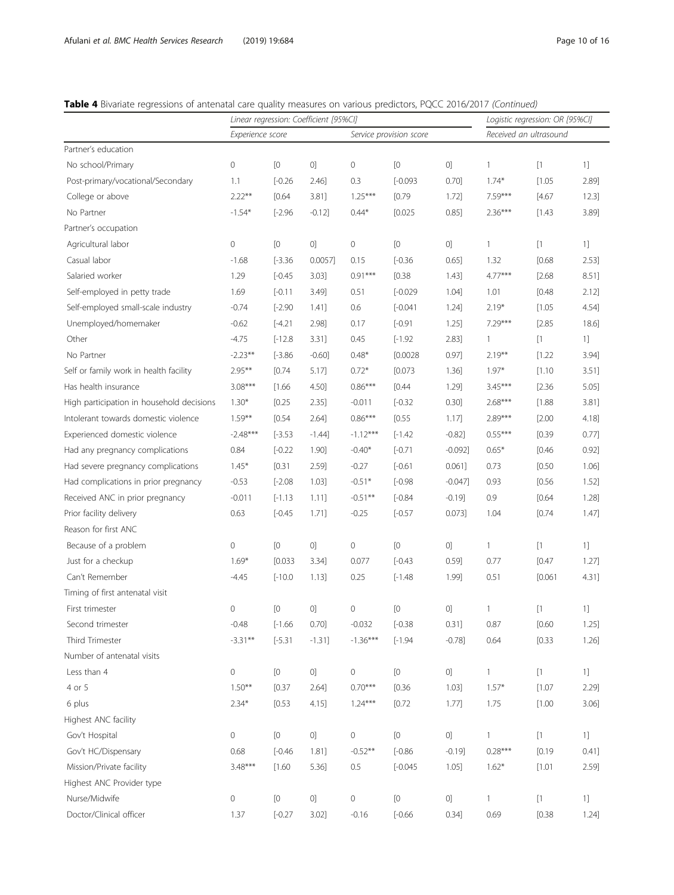# Table 4 Bivariate regressions of antenatal care quality measures on various predictors, PQCC 2016/2017 (Continued)

|                                           | . Britainate regressions or antenatal eare quality incasares on randas predictors, rigged Lord,<br>Linear regression: Coefficient [95%CI] |           |             |                         |            | Logistic regression: OR [95%CI] |                        |         |          |
|-------------------------------------------|-------------------------------------------------------------------------------------------------------------------------------------------|-----------|-------------|-------------------------|------------|---------------------------------|------------------------|---------|----------|
|                                           | Experience score                                                                                                                          |           |             | Service provision score |            |                                 | Received an ultrasound |         |          |
| Partner's education                       |                                                                                                                                           |           |             |                         |            |                                 |                        |         |          |
| No school/Primary                         | 0                                                                                                                                         | [0]       | ${\rm O}]$  | $\mathbf 0$             | [0         | 0]                              | 1                      | [1]     | 1]       |
| Post-primary/vocational/Secondary         | 1.1                                                                                                                                       | $[-0.26]$ | 2.46]       | 0.3                     | $[-0.093]$ | 0.70]                           | $1.74*$                | [1.05]  | 2.89]    |
| College or above                          | $2.22**$                                                                                                                                  | [0.64]    | 3.81]       | $1.25***$               | [0.79]     | 1.72]                           | 7.59***                | [4.67]  | $12.3$ ] |
| No Partner                                | $-1.54*$                                                                                                                                  | $[-2.96]$ | $-0.12]$    | $0.44*$                 | [0.025]    | 0.85]                           | $2.36***$              | [1.43]  | 3.89]    |
| Partner's occupation                      |                                                                                                                                           |           |             |                         |            |                                 |                        |         |          |
| Agricultural labor                        | 0                                                                                                                                         | [0]       | 0]          | $\mathbf 0$             | [0         | 0]                              | 1                      | [1]     | 1]       |
| Casual labor                              | $-1.68$                                                                                                                                   | $[-3.36]$ | $0.0057$ ]  | 0.15                    | $[-0.36]$  | 0.65]                           | 1.32                   | [0.68]  | 2.53]    |
| Salaried worker                           | 1.29                                                                                                                                      | $[-0.45]$ | 3.03]       | $0.91***$               | [0.38]     | 1.43]                           | $4.77***$              | [2.68]  | 8.51]    |
| Self-employed in petty trade              | 1.69                                                                                                                                      | $[-0.11]$ | $3.49$ ]    | 0.51                    | $[-0.029]$ | 1.04]                           | 1.01                   | [0.48]  | 2.12]    |
| Self-employed small-scale industry        | $-0.74$                                                                                                                                   | $[-2.90]$ | 1.41]       | 0.6                     | $[-0.041]$ | 1.24]                           | $2.19*$                | [1.05]  | 4.54]    |
| Unemployed/homemaker                      | $-0.62$                                                                                                                                   | $[-4.21]$ | 2.98]       | 0.17                    | $[-0.91]$  | $1.25$ ]                        | $7.29***$              | [2.85]  | $18.6$ ] |
| Other                                     | $-4.75$                                                                                                                                   | $[-12.8]$ | 3.31]       | 0.45                    | $[-1.92]$  | 2.83]                           | $\mathbf{1}$           | [1]     | 1]       |
| No Partner                                | $-2.23**$                                                                                                                                 | $[-3.86]$ | $-0.60]$    | $0.48*$                 | [0.0028]   | 0.97]                           | $2.19***$              | [1.22]  | 3.94]    |
| Self or family work in health facility    | $2.95***$                                                                                                                                 | [0.74]    | 5.17]       | $0.72*$                 | [0.073]    | $1.36$ ]                        | $1.97*$                | [1.10]  | 3.51]    |
| Has health insurance                      | $3.08***$                                                                                                                                 | [1.66]    | 4.50]       | $0.86***$               | [0.44]     | $1.29$ ]                        | $3.45***$              | [2.36]  | 5.05]    |
| High participation in household decisions | $1.30*$                                                                                                                                   | [0.25]    | 2.35]       | $-0.011$                | $[-0.32]$  | 0.30]                           | $2.68***$              | [1.88]  | 3.81]    |
| Intolerant towards domestic violence      | $1.59***$                                                                                                                                 | [0.54]    | 2.64]       | $0.86***$               | $[0.55]$   | $1.17$ ]                        | 2.89***                | [2.00]  | 4.18]    |
| Experienced domestic violence             | $-2.48***$                                                                                                                                | $[-3.53]$ | $-1.44]$    | $-1.12***$              | $[-1.42]$  | $-0.82]$                        | $0.55***$              | [0.39]  | 0.77]    |
| Had any pregnancy complications           | 0.84                                                                                                                                      | $[-0.22]$ | 1.90]       | $-0.40*$                | $[-0.71]$  | $-0.092]$                       | $0.65*$                | [0.46]  | 0.92]    |
| Had severe pregnancy complications        | $1.45*$                                                                                                                                   | [0.31]    | 2.59]       | $-0.27$                 | $[-0.61]$  | 0.061]                          | 0.73                   | [0.50]  | 1.06]    |
| Had complications in prior pregnancy      | $-0.53$                                                                                                                                   | $[-2.08]$ | 1.03]       | $-0.51*$                | $[-0.98]$  | $-0.047$ ]                      | 0.93                   | [0.56]  | 1.52]    |
| Received ANC in prior pregnancy           | $-0.011$                                                                                                                                  | $[-1.13]$ | 1.11]       | $-0.51**$               | $[-0.84]$  | $-0.19$ ]                       | 0.9                    | [0.64]  | 1.28]    |
| Prior facility delivery                   | 0.63                                                                                                                                      | $[-0.45]$ | 1.71]       | $-0.25$                 | $[-0.57]$  | 0.073]                          | 1.04                   | [0.74]  | 1.47]    |
| Reason for first ANC                      |                                                                                                                                           |           |             |                         |            |                                 |                        |         |          |
| Because of a problem                      | 0                                                                                                                                         | [0]       | 0]          | $\mathbf 0$             | [0         | 0]                              | 1                      | [1]     | $1] \;$  |
| Just for a checkup                        | $1.69*$                                                                                                                                   | [0.033]   | 3.34]       | 0.077                   | $[-0.43]$  | 0.59]                           | 0.77                   | $[0.47$ | $1.27$ ] |
| Can't Remember                            | $-4.45$                                                                                                                                   | $[-10.0]$ | 1.13]       | 0.25                    | $[-1.48]$  | 1.99]                           | 0.51                   | [0.061] | 4.31]    |
| Timing of first antenatal visit           |                                                                                                                                           |           |             |                         |            |                                 |                        |         |          |
| First trimester                           | 0                                                                                                                                         | [0        | 0]          | 0                       | [0         | 0]                              | $\mathbf{1}$           | [1]     | 1]       |
| Second trimester                          | $-0.48$                                                                                                                                   | $[-1.66]$ | 0.70]       | $-0.032$                | $[-0.38]$  | 0.31]                           | 0.87                   | [0.60]  | $1.25$ ] |
| Third Trimester                           | $-3.31**$                                                                                                                                 | $[-5.31]$ | $-1.31]$    | $-1.36***$              | $[-1.94]$  | $-0.78$ ]                       | 0.64                   | [0.33]  | $1.26$ ] |
| Number of antenatal visits                |                                                                                                                                           |           |             |                         |            |                                 |                        |         |          |
| Less than 4                               | $\mathsf{O}\xspace$                                                                                                                       | [0]       | 0]          | $\mathbf 0$             | [0         | [0]                             | $\mathbf{1}$           | [1]     | 1]       |
| 4 or 5                                    | $1.50**$                                                                                                                                  | [0.37]    | 2.64]       | $0.70***$               | [0.36]     | 1.03]                           | $1.57*$                | [1.07]  | 2.29]    |
| 6 plus                                    | $2.34*$                                                                                                                                   | [0.53]    | $4.15$ ]    | $1.24***$               | [0.72]     | $1.77$ ]                        | 1.75                   | [1.00]  | $3.06$ ] |
| Highest ANC facility                      |                                                                                                                                           |           |             |                         |            |                                 |                        |         |          |
| Gov't Hospital                            | 0                                                                                                                                         | [0]       | $\mbox{O}]$ | $\mathbf 0$             | [0         | 0]                              | 1                      | $[1]$   | 1]       |
| Gov't HC/Dispensary                       | 0.68                                                                                                                                      | $[-0.46]$ | 1.81]       | $-0.52**$               | $[-0.86]$  | $-0.19$ ]                       | $0.28***$              | [0.19]  | 0.41]    |
| Mission/Private facility                  | $3.48***$                                                                                                                                 | [1.60]    | 5.36]       | $0.5\,$                 | $[-0.045]$ | 1.05]                           | $1.62*$                | [1.01]  | 2.59]    |
| Highest ANC Provider type                 |                                                                                                                                           |           |             |                         |            |                                 |                        |         |          |
| Nurse/Midwife                             | 0                                                                                                                                         | [0]       | 0]          | $\mathsf{O}$            |            | ${\rm O}]$                      | $\mathbf{1}$           | $[1]$   | 1]       |
| Doctor/Clinical officer                   | 1.37                                                                                                                                      | $[-0.27]$ | 3.02        | $-0.16$                 | $[-0.66]$  | 0.34]                           | 0.69                   | [0.38]  | 1.24]    |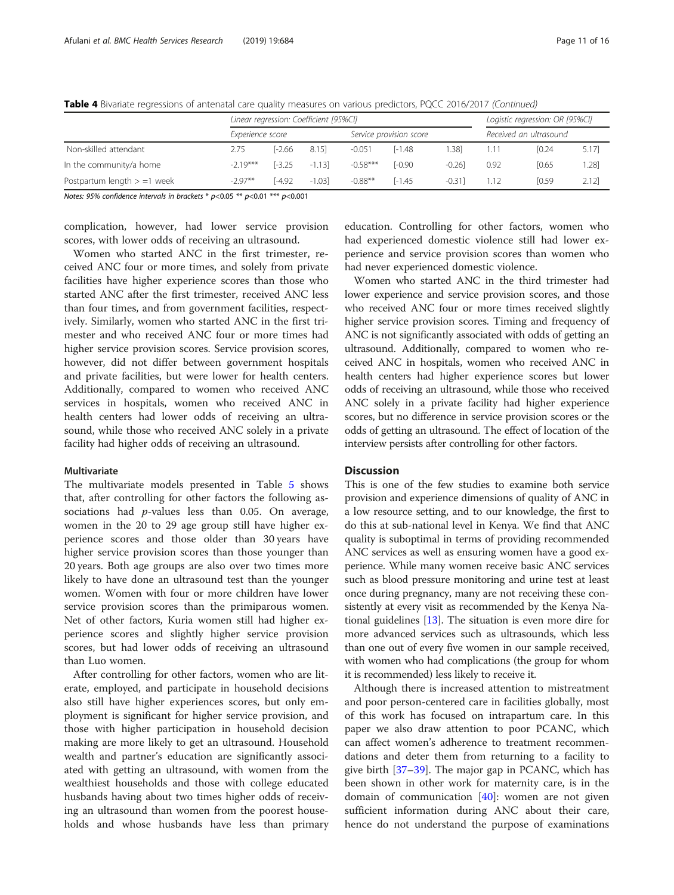Table 4 Bivariate regressions of antenatal care quality measures on various predictors, PQCC 2016/2017 (Continued)

|                               | Linear regression: Coefficient [95%CI] |              |         |                         |           |          | Logistic regression: OR [95%CI] |             |      |  |
|-------------------------------|----------------------------------------|--------------|---------|-------------------------|-----------|----------|---------------------------------|-------------|------|--|
|                               | Experience score                       |              |         | Service provision score |           |          | Received an ultrasound          |             |      |  |
| Non-skilled attendant         | 2.75                                   | $[-2.66]$    | 8.151   | $-0.051$                | $[-1.48]$ | .381     | 1.11                            | [0.24]      | 5.17 |  |
| In the community/a home       | $-2.19***$                             | $[-3.25]$    | $-1131$ | $-0.58***$              | $-0.90$   | $-0.26$  | 0.92                            | <b>0.65</b> | 1.28 |  |
| Postpartum length $> =1$ week | $-297**$                               | <b>-4.92</b> | $-1.03$ | $-0.88**$               | $[-1.45]$ | $-0.311$ |                                 | [0.59]      | 2.12 |  |

Notes: 95% confidence intervals in brackets \*  $p$  < 0.05 \*\*  $p$  < 0.01 \*\*\*  $p$  < 0.001

complication, however, had lower service provision scores, with lower odds of receiving an ultrasound.

Women who started ANC in the first trimester, received ANC four or more times, and solely from private facilities have higher experience scores than those who started ANC after the first trimester, received ANC less than four times, and from government facilities, respectively. Similarly, women who started ANC in the first trimester and who received ANC four or more times had higher service provision scores. Service provision scores, however, did not differ between government hospitals and private facilities, but were lower for health centers. Additionally, compared to women who received ANC services in hospitals, women who received ANC in health centers had lower odds of receiving an ultrasound, while those who received ANC solely in a private facility had higher odds of receiving an ultrasound.

## **Multivariate**

The multivariate models presented in Table [5](#page-11-0) shows that, after controlling for other factors the following associations had  $p$ -values less than 0.05. On average, women in the 20 to 29 age group still have higher experience scores and those older than 30 years have higher service provision scores than those younger than 20 years. Both age groups are also over two times more likely to have done an ultrasound test than the younger women. Women with four or more children have lower service provision scores than the primiparous women. Net of other factors, Kuria women still had higher experience scores and slightly higher service provision scores, but had lower odds of receiving an ultrasound than Luo women.

After controlling for other factors, women who are literate, employed, and participate in household decisions also still have higher experiences scores, but only employment is significant for higher service provision, and those with higher participation in household decision making are more likely to get an ultrasound. Household wealth and partner's education are significantly associated with getting an ultrasound, with women from the wealthiest households and those with college educated husbands having about two times higher odds of receiving an ultrasound than women from the poorest households and whose husbands have less than primary

education. Controlling for other factors, women who had experienced domestic violence still had lower experience and service provision scores than women who had never experienced domestic violence.

Women who started ANC in the third trimester had lower experience and service provision scores, and those who received ANC four or more times received slightly higher service provision scores. Timing and frequency of ANC is not significantly associated with odds of getting an ultrasound. Additionally, compared to women who received ANC in hospitals, women who received ANC in health centers had higher experience scores but lower odds of receiving an ultrasound, while those who received ANC solely in a private facility had higher experience scores, but no difference in service provision scores or the odds of getting an ultrasound. The effect of location of the interview persists after controlling for other factors.

## **Discussion**

This is one of the few studies to examine both service provision and experience dimensions of quality of ANC in a low resource setting, and to our knowledge, the first to do this at sub-national level in Kenya. We find that ANC quality is suboptimal in terms of providing recommended ANC services as well as ensuring women have a good experience. While many women receive basic ANC services such as blood pressure monitoring and urine test at least once during pregnancy, many are not receiving these consistently at every visit as recommended by the Kenya National guidelines [\[13\]](#page-14-0). The situation is even more dire for more advanced services such as ultrasounds, which less than one out of every five women in our sample received, with women who had complications (the group for whom it is recommended) less likely to receive it.

Although there is increased attention to mistreatment and poor person-centered care in facilities globally, most of this work has focused on intrapartum care. In this paper we also draw attention to poor PCANC, which can affect women's adherence to treatment recommendations and deter them from returning to a facility to give birth [\[37](#page-15-0)–[39\]](#page-15-0). The major gap in PCANC, which has been shown in other work for maternity care, is in the domain of communication [[40\]](#page-15-0): women are not given sufficient information during ANC about their care, hence do not understand the purpose of examinations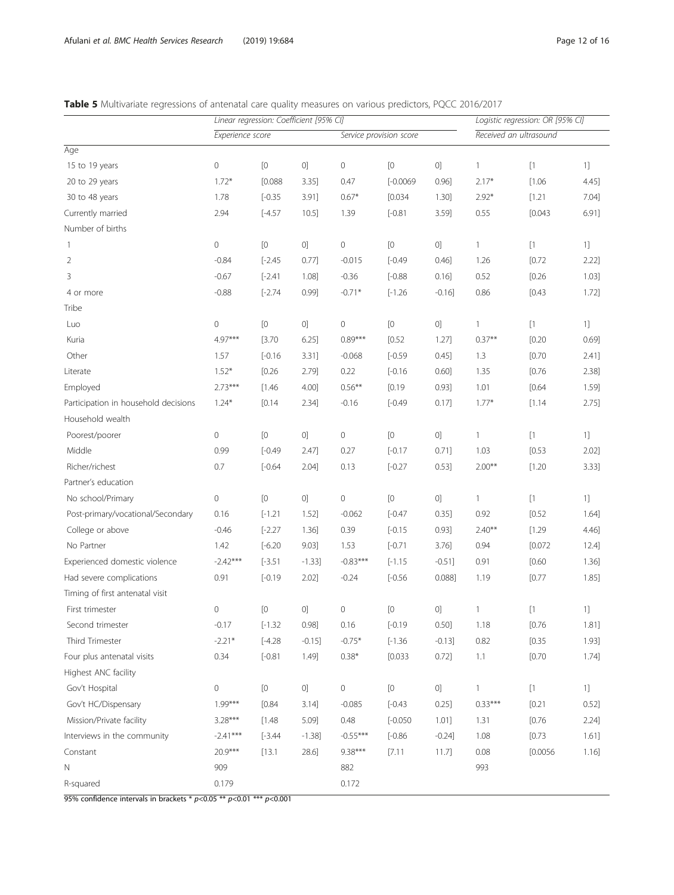# <span id="page-11-0"></span>Table 5 Multivariate regressions of antenatal care quality measures on various predictors, PQCC 2016/2017

|                                      | Linear regression: Coefficient [95% CI] |           |           |                     |                                                                                                                                                                                                                                                                                                                                                                                                                                                                                                                                                                   |             | Logistic regression: OR [95% CI] |                                                                                                                                                                                                                                                                                                                                                                                                                                                                                                                                                                                                                                                                                                                                                                                                                                                                                                                                                                                                                                              |          |  |
|--------------------------------------|-----------------------------------------|-----------|-----------|---------------------|-------------------------------------------------------------------------------------------------------------------------------------------------------------------------------------------------------------------------------------------------------------------------------------------------------------------------------------------------------------------------------------------------------------------------------------------------------------------------------------------------------------------------------------------------------------------|-------------|----------------------------------|----------------------------------------------------------------------------------------------------------------------------------------------------------------------------------------------------------------------------------------------------------------------------------------------------------------------------------------------------------------------------------------------------------------------------------------------------------------------------------------------------------------------------------------------------------------------------------------------------------------------------------------------------------------------------------------------------------------------------------------------------------------------------------------------------------------------------------------------------------------------------------------------------------------------------------------------------------------------------------------------------------------------------------------------|----------|--|
|                                      | Experience score                        |           |           |                     | Service provision score                                                                                                                                                                                                                                                                                                                                                                                                                                                                                                                                           |             |                                  | Received an ultrasound                                                                                                                                                                                                                                                                                                                                                                                                                                                                                                                                                                                                                                                                                                                                                                                                                                                                                                                                                                                                                       |          |  |
| Age                                  |                                         |           |           |                     |                                                                                                                                                                                                                                                                                                                                                                                                                                                                                                                                                                   |             |                                  |                                                                                                                                                                                                                                                                                                                                                                                                                                                                                                                                                                                                                                                                                                                                                                                                                                                                                                                                                                                                                                              |          |  |
| 15 to 19 years                       | $\mathsf{O}\xspace$                     | $[0]$     | [0]       | $\mathsf{O}\xspace$ | [0                                                                                                                                                                                                                                                                                                                                                                                                                                                                                                                                                                | $\mbox{O}]$ | $\overline{1}$                   | $[1] % \centering \includegraphics[width=0.9\textwidth]{images/TrDiS/N-Architecture.png} % \caption{The first two different values of the parameter $\Sigma$ and the first two different values of the parameter $N$. The first two different values of the parameter $N$. The first two different values of the parameter $N$. The first two different values of the parameter $N$. The first two different values of the parameter $N$. The first two different values of the parameter $N$. The first two different values of the parameter $N$. The first two different values of the parameter $N$. The first two different values of the parameter $N$. The first two different values of the parameter $N$. The first two different values of the parameter $N$. The first two different values of the parameter $N$. The first two different values of the parameter $N$. The first two different values of the parameter $N$. The first two different values of the parameter $N$. The first two different values of the parameter$ | 1]       |  |
| 20 to 29 years                       | $1.72*$                                 | [0.088]   | 3.35]     | 0.47                | $[-0.0069]$                                                                                                                                                                                                                                                                                                                                                                                                                                                                                                                                                       | 0.96]       | $2.17*$                          | [1.06]                                                                                                                                                                                                                                                                                                                                                                                                                                                                                                                                                                                                                                                                                                                                                                                                                                                                                                                                                                                                                                       | 4.45]    |  |
| 30 to 48 years                       | 1.78                                    | $[-0.35]$ | 3.91]     | $0.67*$             | [0.034]                                                                                                                                                                                                                                                                                                                                                                                                                                                                                                                                                           | 1.30]       | $2.92*$                          | [1.21]                                                                                                                                                                                                                                                                                                                                                                                                                                                                                                                                                                                                                                                                                                                                                                                                                                                                                                                                                                                                                                       | 7.04]    |  |
| Currently married                    | 2.94                                    | $[-4.57]$ | $10.5$ ]  | 1.39                | $[-0.81]$                                                                                                                                                                                                                                                                                                                                                                                                                                                                                                                                                         | $3.59$ ]    | 0.55                             | [0.043]                                                                                                                                                                                                                                                                                                                                                                                                                                                                                                                                                                                                                                                                                                                                                                                                                                                                                                                                                                                                                                      | 6.91]    |  |
| Number of births                     |                                         |           |           |                     |                                                                                                                                                                                                                                                                                                                                                                                                                                                                                                                                                                   |             |                                  |                                                                                                                                                                                                                                                                                                                                                                                                                                                                                                                                                                                                                                                                                                                                                                                                                                                                                                                                                                                                                                              |          |  |
| 1                                    | $\mathsf{O}\xspace$                     | [0        | [0]       | $\mathsf{O}\xspace$ | [0                                                                                                                                                                                                                                                                                                                                                                                                                                                                                                                                                                | $0]$        | $\mathbf{1}$                     | $[1]$                                                                                                                                                                                                                                                                                                                                                                                                                                                                                                                                                                                                                                                                                                                                                                                                                                                                                                                                                                                                                                        | 1]       |  |
| $\overline{2}$                       | $-0.84$                                 | $[-2.45]$ | 0.77]     | $-0.015$            | $[-0.49]$                                                                                                                                                                                                                                                                                                                                                                                                                                                                                                                                                         | 0.46]       | 1.26                             | [0.72]                                                                                                                                                                                                                                                                                                                                                                                                                                                                                                                                                                                                                                                                                                                                                                                                                                                                                                                                                                                                                                       | 2.22]    |  |
| 3                                    | $-0.67$                                 | $[-2.41]$ | 1.08]     | $-0.36$             | $[-0.88]$                                                                                                                                                                                                                                                                                                                                                                                                                                                                                                                                                         | 0.16]       | 0.52                             | [0.26]                                                                                                                                                                                                                                                                                                                                                                                                                                                                                                                                                                                                                                                                                                                                                                                                                                                                                                                                                                                                                                       | 1.03]    |  |
| 4 or more                            | $-0.88$                                 | $[-2.74]$ | 0.99]     | $-0.71*$            | $[-1.26]$                                                                                                                                                                                                                                                                                                                                                                                                                                                                                                                                                         | $-0.16$ ]   | 0.86                             | [0.43]                                                                                                                                                                                                                                                                                                                                                                                                                                                                                                                                                                                                                                                                                                                                                                                                                                                                                                                                                                                                                                       | 1.72]    |  |
| Tribe                                |                                         |           |           |                     |                                                                                                                                                                                                                                                                                                                                                                                                                                                                                                                                                                   |             |                                  |                                                                                                                                                                                                                                                                                                                                                                                                                                                                                                                                                                                                                                                                                                                                                                                                                                                                                                                                                                                                                                              |          |  |
| Luo                                  | $\mathsf{O}\xspace$                     | [0        | [0]       | $\mathsf{O}\xspace$ | [0                                                                                                                                                                                                                                                                                                                                                                                                                                                                                                                                                                | ${\rm O}]$  | $\mathbf{1}$                     | $[1] % \centering \includegraphics[width=0.9\columnwidth]{figures/fig_10.pdf} \caption{The graph $\mathcal{N}_1$ is a function of the number of times, and the number of times, and the number of times, are indicated with the number of times, and the number of times, are indicated with the number of times, and the number of times, are indicated with the number of times, and the number of times, are indicated with the number of times, and the number of times, are indicated with the number of times, and the number of times, are indicated with the number of times, and the number of times, are indicated with the number of times, and the number of times, are indicated with the number of times, and the number of times, are indicated with the number of times, and the number of times, are indicated with the number of times, and the number of times, are indicated with the number of times, and the number of times, are indicated with the$                                                                  | 1]       |  |
| Kuria                                | $4.97***$                               | [3.70]    | $6.25$ ]  | $0.89***$           | [0.52]                                                                                                                                                                                                                                                                                                                                                                                                                                                                                                                                                            | $1.27$ ]    | $0.37**$                         | [0.20]                                                                                                                                                                                                                                                                                                                                                                                                                                                                                                                                                                                                                                                                                                                                                                                                                                                                                                                                                                                                                                       | 0.69]    |  |
| Other                                | 1.57                                    | $[-0.16]$ | 3.31]     | $-0.068$            | $[-0.59]$                                                                                                                                                                                                                                                                                                                                                                                                                                                                                                                                                         | 0.45]       | 1.3                              | [0.70]                                                                                                                                                                                                                                                                                                                                                                                                                                                                                                                                                                                                                                                                                                                                                                                                                                                                                                                                                                                                                                       | 2.41]    |  |
| Literate                             | $1.52*$                                 | $[0.26]$  | 2.79]     | 0.22                | $[-0.16]$                                                                                                                                                                                                                                                                                                                                                                                                                                                                                                                                                         | 0.60]       | 1.35                             | [0.76]                                                                                                                                                                                                                                                                                                                                                                                                                                                                                                                                                                                                                                                                                                                                                                                                                                                                                                                                                                                                                                       | 2.38]    |  |
| Employed                             | $2.73***$                               | [1.46]    | 4.00]     | $0.56**$            | [0.19]                                                                                                                                                                                                                                                                                                                                                                                                                                                                                                                                                            | 0.93]       | 1.01                             | [0.64]                                                                                                                                                                                                                                                                                                                                                                                                                                                                                                                                                                                                                                                                                                                                                                                                                                                                                                                                                                                                                                       | 1.59]    |  |
| Participation in household decisions | $1.24*$                                 | [0.14]    | 2.34]     | $-0.16$             | $[-0.49]$                                                                                                                                                                                                                                                                                                                                                                                                                                                                                                                                                         | 0.17]       | $1.77*$                          | [1.14]                                                                                                                                                                                                                                                                                                                                                                                                                                                                                                                                                                                                                                                                                                                                                                                                                                                                                                                                                                                                                                       | $2.75$ ] |  |
| Household wealth                     |                                         |           |           |                     |                                                                                                                                                                                                                                                                                                                                                                                                                                                                                                                                                                   |             |                                  |                                                                                                                                                                                                                                                                                                                                                                                                                                                                                                                                                                                                                                                                                                                                                                                                                                                                                                                                                                                                                                              |          |  |
| Poorest/poorer                       | $\mathbf 0$                             | [0        | [0]       | $\mathsf{O}\xspace$ | $[0] \centering% \includegraphics[width=0.9\textwidth]{figs/fig_04a.pdf} \includegraphics[width=0.9\textwidth]{figs/fig_04b.pdf} \includegraphics[width=0.9\textwidth]{figs/fig_04b.pdf} \includegraphics[width=0.9\textwidth]{figs/fig_04b.pdf} \includegraphics[width=0.9\textwidth]{figs/fig_04b.pdf} \includegraphics[width=0.9\textwidth]{figs/fig_04b.pdf} \includegraphics[width=0.9\textwidth]{figs/fig_04b.pdf} \includegraphics[width=0.9\textwidth]{figs/fig_04b.pdf} \includegraphics[width=0.9\textwidth]{figs/fig_04b.pdf} \includegraphics[width=$ | ${\rm O}]$  | $\mathbf{1}$                     | $[1]$                                                                                                                                                                                                                                                                                                                                                                                                                                                                                                                                                                                                                                                                                                                                                                                                                                                                                                                                                                                                                                        | 1]       |  |
| Middle                               | 0.99                                    | $[-0.49]$ | $2.47$ ]  | 0.27                | $[-0.17]$                                                                                                                                                                                                                                                                                                                                                                                                                                                                                                                                                         | 0.71]       | 1.03                             | [0.53]                                                                                                                                                                                                                                                                                                                                                                                                                                                                                                                                                                                                                                                                                                                                                                                                                                                                                                                                                                                                                                       | 2.02]    |  |
| Richer/richest                       | 0.7                                     | $[-0.64]$ | 2.04]     | 0.13                | $[-0.27]$                                                                                                                                                                                                                                                                                                                                                                                                                                                                                                                                                         | 0.53]       | $2.00**$                         | [1.20]                                                                                                                                                                                                                                                                                                                                                                                                                                                                                                                                                                                                                                                                                                                                                                                                                                                                                                                                                                                                                                       | 3.33]    |  |
| Partner's education                  |                                         |           |           |                     |                                                                                                                                                                                                                                                                                                                                                                                                                                                                                                                                                                   |             |                                  |                                                                                                                                                                                                                                                                                                                                                                                                                                                                                                                                                                                                                                                                                                                                                                                                                                                                                                                                                                                                                                              |          |  |
| No school/Primary                    | $\circ$                                 | [0        | [0]       | $\mathbb O$         | [0                                                                                                                                                                                                                                                                                                                                                                                                                                                                                                                                                                | $0]$        | $\overline{1}$                   | $[1] % \centering \includegraphics[width=0.9\columnwidth]{figures/fig_10.pdf} \caption{The graph $\alpha$ in the left and right.} \label{fig:time}$                                                                                                                                                                                                                                                                                                                                                                                                                                                                                                                                                                                                                                                                                                                                                                                                                                                                                          | 1]       |  |
| Post-primary/vocational/Secondary    | 0.16                                    | $[-1.21]$ | 1.52]     | $-0.062$            | $[-0.47]$                                                                                                                                                                                                                                                                                                                                                                                                                                                                                                                                                         | 0.35]       | 0.92                             | [0.52]                                                                                                                                                                                                                                                                                                                                                                                                                                                                                                                                                                                                                                                                                                                                                                                                                                                                                                                                                                                                                                       | 1.64]    |  |
| College or above                     | $-0.46$                                 | $[-2.27]$ | 1.36]     | 0.39                | $[-0.15]$                                                                                                                                                                                                                                                                                                                                                                                                                                                                                                                                                         | 0.93]       | $2.40**$                         | [1.29]                                                                                                                                                                                                                                                                                                                                                                                                                                                                                                                                                                                                                                                                                                                                                                                                                                                                                                                                                                                                                                       | 4.46]    |  |
| No Partner                           | 1.42                                    | $[-6.20]$ | 9.03]     | 1.53                | $[-0.71]$                                                                                                                                                                                                                                                                                                                                                                                                                                                                                                                                                         | $3.76$ ]    | 0.94                             | [0.072]                                                                                                                                                                                                                                                                                                                                                                                                                                                                                                                                                                                                                                                                                                                                                                                                                                                                                                                                                                                                                                      | $12.4$ ] |  |
| Experienced domestic violence        | $-2.42***$                              | $[-3.51]$ | $-1.33$ ] | $-0.83***$          | $[-1.15]$                                                                                                                                                                                                                                                                                                                                                                                                                                                                                                                                                         | $-0.51$ ]   | 0.91                             | [0.60]                                                                                                                                                                                                                                                                                                                                                                                                                                                                                                                                                                                                                                                                                                                                                                                                                                                                                                                                                                                                                                       | 1.36]    |  |
| Had severe complications             | 0.91                                    | $[-0.19]$ | 2.02]     | $-0.24$             | $[-0.56]$                                                                                                                                                                                                                                                                                                                                                                                                                                                                                                                                                         | 0.088]      | 1.19                             | [0.77]                                                                                                                                                                                                                                                                                                                                                                                                                                                                                                                                                                                                                                                                                                                                                                                                                                                                                                                                                                                                                                       | 1.85]    |  |
| Timing of first antenatal visit      |                                         |           |           |                     |                                                                                                                                                                                                                                                                                                                                                                                                                                                                                                                                                                   |             |                                  |                                                                                                                                                                                                                                                                                                                                                                                                                                                                                                                                                                                                                                                                                                                                                                                                                                                                                                                                                                                                                                              |          |  |
| First trimester                      | $\mathbf 0$                             | [0        | [0]       | $\mathsf{O}\xspace$ | [0                                                                                                                                                                                                                                                                                                                                                                                                                                                                                                                                                                | ${\rm O}]$  | $\mathbf{1}$                     | $[1] % \centering \includegraphics[width=0.47\textwidth]{images/TrDiS/N-Architecture.png} % \caption{The first two different values of the parameter $\Sigma$ in the left (upper) and the first two different values of the parameter $\Sigma$. The first two different values of the parameter $X$. The first two different values of the parameter $X$. The first two different values of the parameter $X$. The first two different values of the parameter $X$. The first two different values of the parameter $X$. The first two different values of the parameter $X$. The first two different values of the parameter $X$. The first two different values of the parameter $X$. The first two different values of the parameter $X$. The first two different values of the parameter $X$. The first two different values of the parameter $X$. The first two different values of the parameter $X$. The first two different values of the parameter $X$. The first two different values of the parameter $X$. The$                   | 1]       |  |
| Second trimester                     | $-0.17$                                 | $[-1.32]$ | 0.98]     | 0.16                | $[-0.19]$                                                                                                                                                                                                                                                                                                                                                                                                                                                                                                                                                         | 0.50]       | 1.18                             | [0.76]                                                                                                                                                                                                                                                                                                                                                                                                                                                                                                                                                                                                                                                                                                                                                                                                                                                                                                                                                                                                                                       | 1.81]    |  |
| Third Trimester                      | $-2.21*$                                | $[-4.28]$ | $-0.15$ ] | $-0.75*$            | $[-1.36]$                                                                                                                                                                                                                                                                                                                                                                                                                                                                                                                                                         | $-0.13$ ]   | 0.82                             | [0.35]                                                                                                                                                                                                                                                                                                                                                                                                                                                                                                                                                                                                                                                                                                                                                                                                                                                                                                                                                                                                                                       | 1.93]    |  |
| Four plus antenatal visits           | 0.34                                    | $[-0.81]$ | 1.49]     | $0.38*$             | [0.033]                                                                                                                                                                                                                                                                                                                                                                                                                                                                                                                                                           | 0.72]       | 1.1                              | [0.70]                                                                                                                                                                                                                                                                                                                                                                                                                                                                                                                                                                                                                                                                                                                                                                                                                                                                                                                                                                                                                                       | 1.74]    |  |
| Highest ANC facility                 |                                         |           |           |                     |                                                                                                                                                                                                                                                                                                                                                                                                                                                                                                                                                                   |             |                                  |                                                                                                                                                                                                                                                                                                                                                                                                                                                                                                                                                                                                                                                                                                                                                                                                                                                                                                                                                                                                                                              |          |  |
| Gov't Hospital                       | 0                                       | [0        | 0]        | $\mathbb O$         | [0                                                                                                                                                                                                                                                                                                                                                                                                                                                                                                                                                                | ${\rm O}]$  | $\mathbf{1}$                     | $[1] % \centering \includegraphics[width=0.9\columnwidth]{figures/fig_10.pdf} \caption{The graph $\mathcal{N}_1$ is a function of the number of times, and the number of times, and the number of times, are indicated with the number of times, and the number of times, are indicated with the number of times, and the number of times, are indicated with the number of times, and the number of times, are indicated with the number of times, and the number of times, are indicated with the number of times, and the number of times, are indicated with the number of times, and the number of times, are indicated with the number of times, and the number of times, are indicated with the number of times, and the number of times, are indicated with the number of times, and the number of times, are indicated with the number of times, and the number of times, are indicated with the number of times, and the number of times, are indicated with the$                                                                  | 1]       |  |
| Gov't HC/Dispensary                  | $1.99***$                               | [0.84]    | 3.14]     | $-0.085$            | $[-0.43]$                                                                                                                                                                                                                                                                                                                                                                                                                                                                                                                                                         | 0.25]       | $0.33***$                        | [0.21]                                                                                                                                                                                                                                                                                                                                                                                                                                                                                                                                                                                                                                                                                                                                                                                                                                                                                                                                                                                                                                       | 0.52]    |  |
| Mission/Private facility             | $3.28***$                               | [1.48]    | 5.09]     | 0.48                | $[-0.050]$                                                                                                                                                                                                                                                                                                                                                                                                                                                                                                                                                        | 1.01]       | 1.31                             | [0.76]                                                                                                                                                                                                                                                                                                                                                                                                                                                                                                                                                                                                                                                                                                                                                                                                                                                                                                                                                                                                                                       | 2.24]    |  |
| Interviews in the community          | $-2.41***$                              | $[-3.44]$ | $-1.38$ ] | $-0.55***$          | $[-0.86]$                                                                                                                                                                                                                                                                                                                                                                                                                                                                                                                                                         | $-0.24$ ]   | 1.08                             | [0.73]                                                                                                                                                                                                                                                                                                                                                                                                                                                                                                                                                                                                                                                                                                                                                                                                                                                                                                                                                                                                                                       | 1.61]    |  |
| Constant                             | 20.9***                                 | [13.1]    | 28.6]     | 9.38***             | [7.11]                                                                                                                                                                                                                                                                                                                                                                                                                                                                                                                                                            | $11.7$ ]    | 0.08                             | [0.0056]                                                                                                                                                                                                                                                                                                                                                                                                                                                                                                                                                                                                                                                                                                                                                                                                                                                                                                                                                                                                                                     | 1.16]    |  |
| $\hbox{N}$                           | 909                                     |           |           | 882                 |                                                                                                                                                                                                                                                                                                                                                                                                                                                                                                                                                                   |             | 993                              |                                                                                                                                                                                                                                                                                                                                                                                                                                                                                                                                                                                                                                                                                                                                                                                                                                                                                                                                                                                                                                              |          |  |
| R-squared                            | 0.179                                   |           |           | 0.172               |                                                                                                                                                                                                                                                                                                                                                                                                                                                                                                                                                                   |             |                                  |                                                                                                                                                                                                                                                                                                                                                                                                                                                                                                                                                                                                                                                                                                                                                                                                                                                                                                                                                                                                                                              |          |  |

95% confidence intervals in brackets \*  $p<0.05$  \*\*  $p<0.01$  \*\*\*  $p<0.001$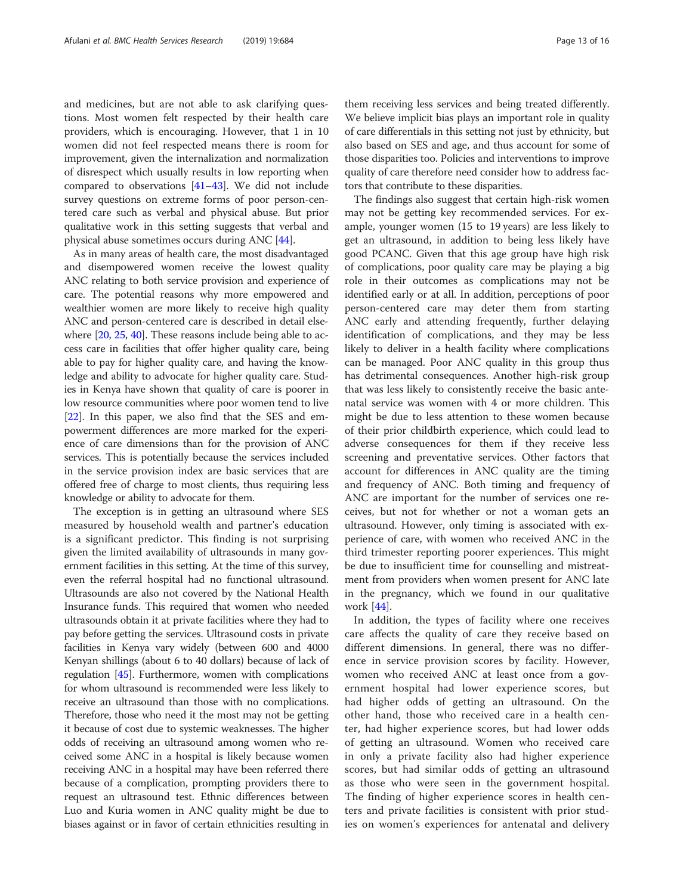and medicines, but are not able to ask clarifying questions. Most women felt respected by their health care providers, which is encouraging. However, that 1 in 10 women did not feel respected means there is room for improvement, given the internalization and normalization of disrespect which usually results in low reporting when compared to observations [[41](#page-15-0)–[43\]](#page-15-0). We did not include survey questions on extreme forms of poor person-centered care such as verbal and physical abuse. But prior qualitative work in this setting suggests that verbal and physical abuse sometimes occurs during ANC [\[44\]](#page-15-0).

As in many areas of health care, the most disadvantaged and disempowered women receive the lowest quality ANC relating to both service provision and experience of care. The potential reasons why more empowered and wealthier women are more likely to receive high quality ANC and person-centered care is described in detail elsewhere [[20](#page-15-0), [25,](#page-15-0) [40](#page-15-0)]. These reasons include being able to access care in facilities that offer higher quality care, being able to pay for higher quality care, and having the knowledge and ability to advocate for higher quality care. Studies in Kenya have shown that quality of care is poorer in low resource communities where poor women tend to live [[22](#page-15-0)]. In this paper, we also find that the SES and empowerment differences are more marked for the experience of care dimensions than for the provision of ANC services. This is potentially because the services included in the service provision index are basic services that are offered free of charge to most clients, thus requiring less knowledge or ability to advocate for them.

The exception is in getting an ultrasound where SES measured by household wealth and partner's education is a significant predictor. This finding is not surprising given the limited availability of ultrasounds in many government facilities in this setting. At the time of this survey, even the referral hospital had no functional ultrasound. Ultrasounds are also not covered by the National Health Insurance funds. This required that women who needed ultrasounds obtain it at private facilities where they had to pay before getting the services. Ultrasound costs in private facilities in Kenya vary widely (between 600 and 4000 Kenyan shillings (about 6 to 40 dollars) because of lack of regulation [\[45\]](#page-15-0). Furthermore, women with complications for whom ultrasound is recommended were less likely to receive an ultrasound than those with no complications. Therefore, those who need it the most may not be getting it because of cost due to systemic weaknesses. The higher odds of receiving an ultrasound among women who received some ANC in a hospital is likely because women receiving ANC in a hospital may have been referred there because of a complication, prompting providers there to request an ultrasound test. Ethnic differences between Luo and Kuria women in ANC quality might be due to biases against or in favor of certain ethnicities resulting in

them receiving less services and being treated differently. We believe implicit bias plays an important role in quality of care differentials in this setting not just by ethnicity, but also based on SES and age, and thus account for some of those disparities too. Policies and interventions to improve quality of care therefore need consider how to address factors that contribute to these disparities.

The findings also suggest that certain high-risk women may not be getting key recommended services. For example, younger women (15 to 19 years) are less likely to get an ultrasound, in addition to being less likely have good PCANC. Given that this age group have high risk of complications, poor quality care may be playing a big role in their outcomes as complications may not be identified early or at all. In addition, perceptions of poor person-centered care may deter them from starting ANC early and attending frequently, further delaying identification of complications, and they may be less likely to deliver in a health facility where complications can be managed. Poor ANC quality in this group thus has detrimental consequences. Another high-risk group that was less likely to consistently receive the basic antenatal service was women with 4 or more children. This might be due to less attention to these women because of their prior childbirth experience, which could lead to adverse consequences for them if they receive less screening and preventative services. Other factors that account for differences in ANC quality are the timing and frequency of ANC. Both timing and frequency of ANC are important for the number of services one receives, but not for whether or not a woman gets an ultrasound. However, only timing is associated with experience of care, with women who received ANC in the third trimester reporting poorer experiences. This might be due to insufficient time for counselling and mistreatment from providers when women present for ANC late in the pregnancy, which we found in our qualitative work [\[44](#page-15-0)].

In addition, the types of facility where one receives care affects the quality of care they receive based on different dimensions. In general, there was no difference in service provision scores by facility. However, women who received ANC at least once from a government hospital had lower experience scores, but had higher odds of getting an ultrasound. On the other hand, those who received care in a health center, had higher experience scores, but had lower odds of getting an ultrasound. Women who received care in only a private facility also had higher experience scores, but had similar odds of getting an ultrasound as those who were seen in the government hospital. The finding of higher experience scores in health centers and private facilities is consistent with prior studies on women's experiences for antenatal and delivery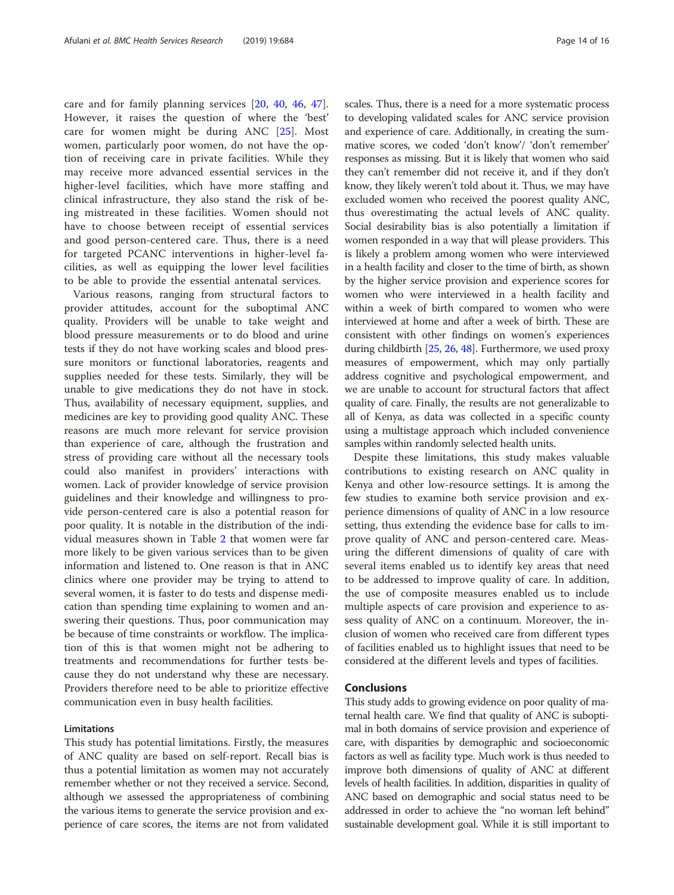care and for family planning services [\[20](#page-15-0), [40,](#page-15-0) [46](#page-15-0), [47](#page-15-0)]. However, it raises the question of where the 'best' care for women might be during ANC [\[25](#page-15-0)]. Most women, particularly poor women, do not have the option of receiving care in private facilities. While they may receive more advanced essential services in the higher-level facilities, which have more staffing and clinical infrastructure, they also stand the risk of being mistreated in these facilities. Women should not have to choose between receipt of essential services and good person-centered care. Thus, there is a need for targeted PCANC interventions in higher-level facilities, as well as equipping the lower level facilities to be able to provide the essential antenatal services.

Various reasons, ranging from structural factors to provider attitudes, account for the suboptimal ANC quality. Providers will be unable to take weight and blood pressure measurements or to do blood and urine tests if they do not have working scales and blood pressure monitors or functional laboratories, reagents and supplies needed for these tests. Similarly, they will be unable to give medications they do not have in stock. Thus, availability of necessary equipment, supplies, and medicines are key to providing good quality ANC. These reasons are much more relevant for service provision than experience of care, although the frustration and stress of providing care without all the necessary tools could also manifest in providers' interactions with women. Lack of provider knowledge of service provision guidelines and their knowledge and willingness to provide person-centered care is also a potential reason for poor quality. It is notable in the distribution of the individual measures shown in Table [2](#page-6-0) that women were far more likely to be given various services than to be given information and listened to. One reason is that in ANC clinics where one provider may be trying to attend to several women, it is faster to do tests and dispense medication than spending time explaining to women and answering their questions. Thus, poor communication may be because of time constraints or workflow. The implication of this is that women might not be adhering to treatments and recommendations for further tests because they do not understand why these are necessary. Providers therefore need to be able to prioritize effective communication even in busy health facilities.

# Limitations

This study has potential limitations. Firstly, the measures of ANC quality are based on self-report. Recall bias is thus a potential limitation as women may not accurately remember whether or not they received a service. Second, although we assessed the appropriateness of combining the various items to generate the service provision and experience of care scores, the items are not from validated scales. Thus, there is a need for a more systematic process to developing validated scales for ANC service provision and experience of care. Additionally, in creating the summative scores, we coded 'don't know'/ 'don't remember' responses as missing. But it is likely that women who said they can't remember did not receive it, and if they don't know, they likely weren't told about it. Thus, we may have excluded women who received the poorest quality ANC, thus overestimating the actual levels of ANC quality. Social desirability bias is also potentially a limitation if women responded in a way that will please providers. This is likely a problem among women who were interviewed in a health facility and closer to the time of birth, as shown by the higher service provision and experience scores for women who were interviewed in a health facility and within a week of birth compared to women who were interviewed at home and after a week of birth. These are consistent with other findings on women's experiences during childbirth [[25](#page-15-0), [26,](#page-15-0) [48](#page-15-0)]. Furthermore, we used proxy measures of empowerment, which may only partially address cognitive and psychological empowerment, and we are unable to account for structural factors that affect quality of care. Finally, the results are not generalizable to all of Kenya, as data was collected in a specific county using a multistage approach which included convenience samples within randomly selected health units.

Despite these limitations, this study makes valuable contributions to existing research on ANC quality in Kenya and other low-resource settings. It is among the few studies to examine both service provision and experience dimensions of quality of ANC in a low resource setting, thus extending the evidence base for calls to improve quality of ANC and person-centered care. Measuring the different dimensions of quality of care with several items enabled us to identify key areas that need to be addressed to improve quality of care. In addition, the use of composite measures enabled us to include multiple aspects of care provision and experience to assess quality of ANC on a continuum. Moreover, the inclusion of women who received care from different types of facilities enabled us to highlight issues that need to be considered at the different levels and types of facilities.

## Conclusions

This study adds to growing evidence on poor quality of maternal health care. We find that quality of ANC is suboptimal in both domains of service provision and experience of care, with disparities by demographic and socioeconomic factors as well as facility type. Much work is thus needed to improve both dimensions of quality of ANC at different levels of health facilities. In addition, disparities in quality of ANC based on demographic and social status need to be addressed in order to achieve the "no woman left behind" sustainable development goal. While it is still important to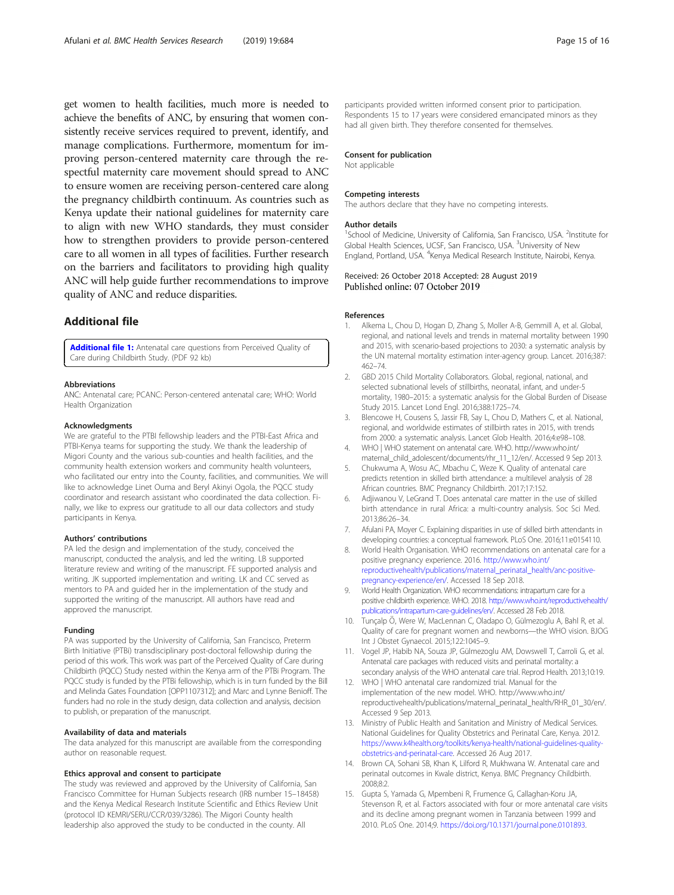<span id="page-14-0"></span>get women to health facilities, much more is needed to achieve the benefits of ANC, by ensuring that women consistently receive services required to prevent, identify, and manage complications. Furthermore, momentum for improving person-centered maternity care through the respectful maternity care movement should spread to ANC to ensure women are receiving person-centered care along the pregnancy childbirth continuum. As countries such as Kenya update their national guidelines for maternity care to align with new WHO standards, they must consider how to strengthen providers to provide person-centered care to all women in all types of facilities. Further research on the barriers and facilitators to providing high quality ANC will help guide further recommendations to improve quality of ANC and reduce disparities.

# Additional file

[Additional file 1:](https://doi.org/10.1186/s12913-019-4476-4) Antenatal care questions from Perceived Quality of Care during Childbirth Study. (PDF 92 kb)

## Abbreviations

ANC: Antenatal care; PCANC: Person-centered antenatal care; WHO: World Health Organization

#### Acknowledgments

We are grateful to the PTBI fellowship leaders and the PTBI-East Africa and PTBI-Kenya teams for supporting the study. We thank the leadership of Migori County and the various sub-counties and health facilities, and the community health extension workers and community health volunteers, who facilitated our entry into the County, facilities, and communities. We will like to acknowledge Linet Ouma and Beryl Akinyi Ogola, the PQCC study coordinator and research assistant who coordinated the data collection. Finally, we like to express our gratitude to all our data collectors and study participants in Kenya.

#### Authors' contributions

PA led the design and implementation of the study, conceived the manuscript, conducted the analysis, and led the writing. LB supported literature review and writing of the manuscript. FE supported analysis and writing. JK supported implementation and writing. LK and CC served as mentors to PA and guided her in the implementation of the study and supported the writing of the manuscript. All authors have read and approved the manuscript.

#### Funding

PA was supported by the University of California, San Francisco, Preterm Birth Initiative (PTBi) transdisciplinary post-doctoral fellowship during the period of this work. This work was part of the Perceived Quality of Care during Childbirth (PQCC) Study nested within the Kenya arm of the PTBi Program. The PQCC study is funded by the PTBi fellowship, which is in turn funded by the Bill and Melinda Gates Foundation [OPP1107312]; and Marc and Lynne Benioff. The funders had no role in the study design, data collection and analysis, decision to publish, or preparation of the manuscript.

## Availability of data and materials

The data analyzed for this manuscript are available from the corresponding author on reasonable request.

#### Ethics approval and consent to participate

The study was reviewed and approved by the University of California, San Francisco Committee for Human Subjects research (IRB number 15–18458) and the Kenya Medical Research Institute Scientific and Ethics Review Unit (protocol ID KEMRI/SERU/CCR/039/3286). The Migori County health leadership also approved the study to be conducted in the county. All

participants provided written informed consent prior to participation. Respondents 15 to 17 years were considered emancipated minors as they had all given birth. They therefore consented for themselves.

#### Consent for publication

Not applicable

## Competing interests

The authors declare that they have no competing interests.

#### Author details

<sup>1</sup>School of Medicine, University of California, San Francisco, USA. <sup>2</sup>Institute for Global Health Sciences, UCSF, San Francisco, USA. <sup>3</sup>University of New England, Portland, USA. <sup>4</sup>Kenya Medical Research Institute, Nairobi, Kenya.

## Received: 26 October 2018 Accepted: 28 August 2019 Published online: 07 October 2019

## References

- 1. Alkema L, Chou D, Hogan D, Zhang S, Moller A-B, Gemmill A, et al. Global, regional, and national levels and trends in maternal mortality between 1990 and 2015, with scenario-based projections to 2030: a systematic analysis by the UN maternal mortality estimation inter-agency group. Lancet. 2016;387: 462–74.
- 2. GBD 2015 Child Mortality Collaborators. Global, regional, national, and selected subnational levels of stillbirths, neonatal, infant, and under-5 mortality, 1980–2015: a systematic analysis for the Global Burden of Disease Study 2015. Lancet Lond Engl. 2016;388:1725–74.
- 3. Blencowe H, Cousens S, Jassir FB, Say L, Chou D, Mathers C, et al. National, regional, and worldwide estimates of stillbirth rates in 2015, with trends from 2000: a systematic analysis. Lancet Glob Health. 2016;4:e98–108.
- 4. WHO | WHO statement on antenatal care. WHO. http://www.who.int/ maternal\_child\_adolescent/documents/rhr\_11\_12/en/. Accessed 9 Sep 2013.
- 5. Chukwuma A, Wosu AC, Mbachu C, Weze K. Quality of antenatal care predicts retention in skilled birth attendance: a multilevel analysis of 28 African countries. BMC Pregnancy Childbirth. 2017;17:152.
- 6. Adjiwanou V, LeGrand T. Does antenatal care matter in the use of skilled birth attendance in rural Africa: a multi-country analysis. Soc Sci Med. 2013;86:26–34.
- 7. Afulani PA, Moyer C. Explaining disparities in use of skilled birth attendants in developing countries: a conceptual framework. PLoS One. 2016;11:e0154110.
- 8. World Health Organisation. WHO recommendations on antenatal care for a positive pregnancy experience. 2016. [http://www.who.int/](http://www.who.int/reproductivehealth/publications/maternal_perinatal_health/anc-positive-pregnancy-experience/en/) [reproductivehealth/publications/maternal\\_perinatal\\_health/anc-positive](http://www.who.int/reproductivehealth/publications/maternal_perinatal_health/anc-positive-pregnancy-experience/en/)[pregnancy-experience/en/](http://www.who.int/reproductivehealth/publications/maternal_perinatal_health/anc-positive-pregnancy-experience/en/). Accessed 18 Sep 2018.
- 9. World Health Organization. WHO recommendations: intrapartum care for a positive childbirth experience. WHO. 2018. [http://www.who.int/reproductivehealth/](http://www.who.int/reproductivehealth/publications/intrapartum-care-guidelines/en/) [publications/intrapartum-care-guidelines/en/](http://www.who.int/reproductivehealth/publications/intrapartum-care-guidelines/en/). Accessed 28 Feb 2018.
- 10. Tunçalp Ӧ, Were W, MacLennan C, Oladapo O, Gülmezoglu A, Bahl R, et al. Quality of care for pregnant women and newborns—the WHO vision. BJOG Int J Obstet Gynaecol. 2015;122:1045–9.
- 11. Vogel JP, Habib NA, Souza JP, Gülmezoglu AM, Dowswell T, Carroli G, et al. Antenatal care packages with reduced visits and perinatal mortality: a secondary analysis of the WHO antenatal care trial. Reprod Health. 2013;10:19.
- 12. WHO | WHO antenatal care randomized trial. Manual for the implementation of the new model. WHO. http://www.who.int/ reproductivehealth/publications/maternal\_perinatal\_health/RHR\_01\_30/en/. Accessed 9 Sep 2013.
- 13. Ministry of Public Health and Sanitation and Ministry of Medical Services. National Guidelines for Quality Obstetrics and Perinatal Care, Kenya. 2012. [https://www.k4health.org/toolkits/kenya-health/national-guidelines-quality](https://www.k4health.org/toolkits/kenya-health/national-guidelines-quality-obstetrics-and-perinatal-care)[obstetrics-and-perinatal-care](https://www.k4health.org/toolkits/kenya-health/national-guidelines-quality-obstetrics-and-perinatal-care). Accessed 26 Aug 2017.
- 14. Brown CA, Sohani SB, Khan K, Lilford R, Mukhwana W. Antenatal care and perinatal outcomes in Kwale district, Kenya. BMC Pregnancy Childbirth. 2008;8:2.
- 15. Gupta S, Yamada G, Mpembeni R, Frumence G, Callaghan-Koru JA, Stevenson R, et al. Factors associated with four or more antenatal care visits and its decline among pregnant women in Tanzania between 1999 and 2010. PLoS One. 2014;9. <https://doi.org/10.1371/journal.pone.0101893>.